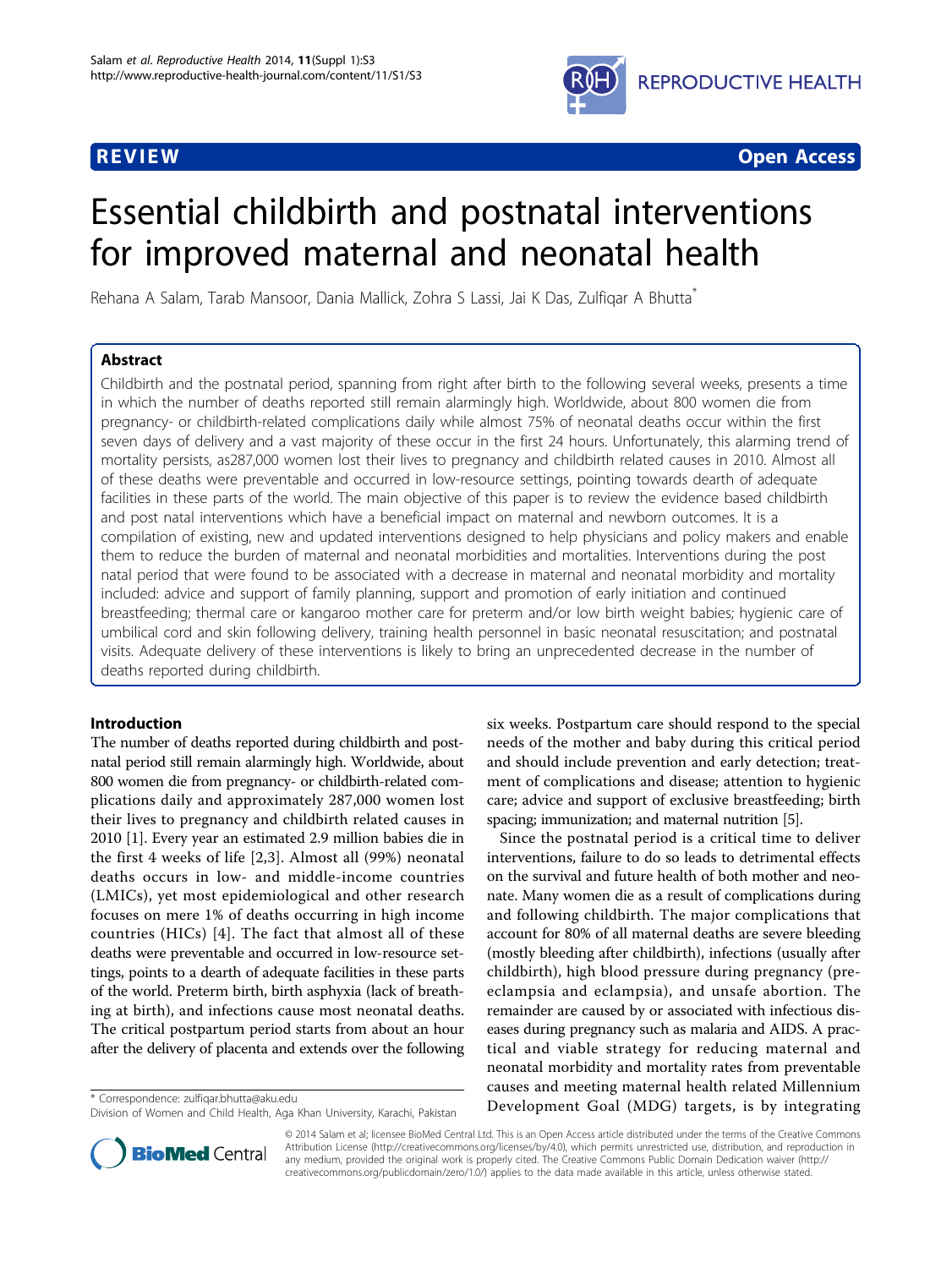

**REVIEW CONSTRUCTION CONSTRUCTION CONSTRUCTS** 

# Essential childbirth and postnatal interventions for improved maternal and neonatal health

Rehana A Salam, Tarab Mansoor, Dania Mallick, Zohra S Lassi, Jai K Das, Zulfiqar A Bhutta\*

#### Abstract

Childbirth and the postnatal period, spanning from right after birth to the following several weeks, presents a time in which the number of deaths reported still remain alarmingly high. Worldwide, about 800 women die from pregnancy- or childbirth-related complications daily while almost 75% of neonatal deaths occur within the first seven days of delivery and a vast majority of these occur in the first 24 hours. Unfortunately, this alarming trend of mortality persists, as287,000 women lost their lives to pregnancy and childbirth related causes in 2010. Almost all of these deaths were preventable and occurred in low-resource settings, pointing towards dearth of adequate facilities in these parts of the world. The main objective of this paper is to review the evidence based childbirth and post natal interventions which have a beneficial impact on maternal and newborn outcomes. It is a compilation of existing, new and updated interventions designed to help physicians and policy makers and enable them to reduce the burden of maternal and neonatal morbidities and mortalities. Interventions during the post natal period that were found to be associated with a decrease in maternal and neonatal morbidity and mortality included: advice and support of family planning, support and promotion of early initiation and continued breastfeeding; thermal care or kangaroo mother care for preterm and/or low birth weight babies; hygienic care of umbilical cord and skin following delivery, training health personnel in basic neonatal resuscitation; and postnatal visits. Adequate delivery of these interventions is likely to bring an unprecedented decrease in the number of deaths reported during childbirth.

#### Introduction

The number of deaths reported during childbirth and postnatal period still remain alarmingly high. Worldwide, about 800 women die from pregnancy- or childbirth-related complications daily and approximately 287,000 women lost their lives to pregnancy and childbirth related causes in 2010 [\[1\]](#page-14-0). Every year an estimated 2.9 million babies die in the first 4 weeks of life [[2,3](#page-14-0)]. Almost all (99%) neonatal deaths occurs in low- and middle-income countries (LMICs), yet most epidemiological and other research focuses on mere 1% of deaths occurring in high income countries (HICs) [\[4\]](#page-14-0). The fact that almost all of these deaths were preventable and occurred in low-resource settings, points to a dearth of adequate facilities in these parts of the world. Preterm birth, birth asphyxia (lack of breathing at birth), and infections cause most neonatal deaths. The critical postpartum period starts from about an hour after the delivery of placenta and extends over the following

six weeks. Postpartum care should respond to the special needs of the mother and baby during this critical period and should include prevention and early detection; treatment of complications and disease; attention to hygienic care; advice and support of exclusive breastfeeding; birth spacing; immunization; and maternal nutrition [[5](#page-14-0)].

Since the postnatal period is a critical time to deliver interventions, failure to do so leads to detrimental effects on the survival and future health of both mother and neonate. Many women die as a result of complications during and following childbirth. The major complications that account for 80% of all maternal deaths are severe bleeding (mostly bleeding after childbirth), infections (usually after childbirth), high blood pressure during pregnancy (preeclampsia and eclampsia), and unsafe abortion. The remainder are caused by or associated with infectious diseases during pregnancy such as malaria and AIDS. A practical and viable strategy for reducing maternal and neonatal morbidity and mortality rates from preventable causes and meeting maternal health related Millennium Development Goal (MDG) targets, is by integrating \* Correspondence: [zulfiqar.bhutta@aku.edu](mailto:zulfiqar.bhutta@aku.edu)



© 2014 Salam et al; licensee BioMed Central Ltd. This is an Open Access article distributed under the terms of the Creative Commons Attribution License [\(http://creativecommons.org/licenses/by/4.0](http://creativecommons.org/licenses/by/4.0)), which permits unrestricted use, distribution, and reproduction in any medium, provided the original work is properly cited. The Creative Commons Public Domain Dedication waiver [\(http://](http://creativecommons.org/publicdomain/zero/1.0/) [creativecommons.org/publicdomain/zero/1.0/](http://creativecommons.org/publicdomain/zero/1.0/)) applies to the data made available in this article, unless otherwise stated.

Division of Women and Child Health, Aga Khan University, Karachi, Pakistan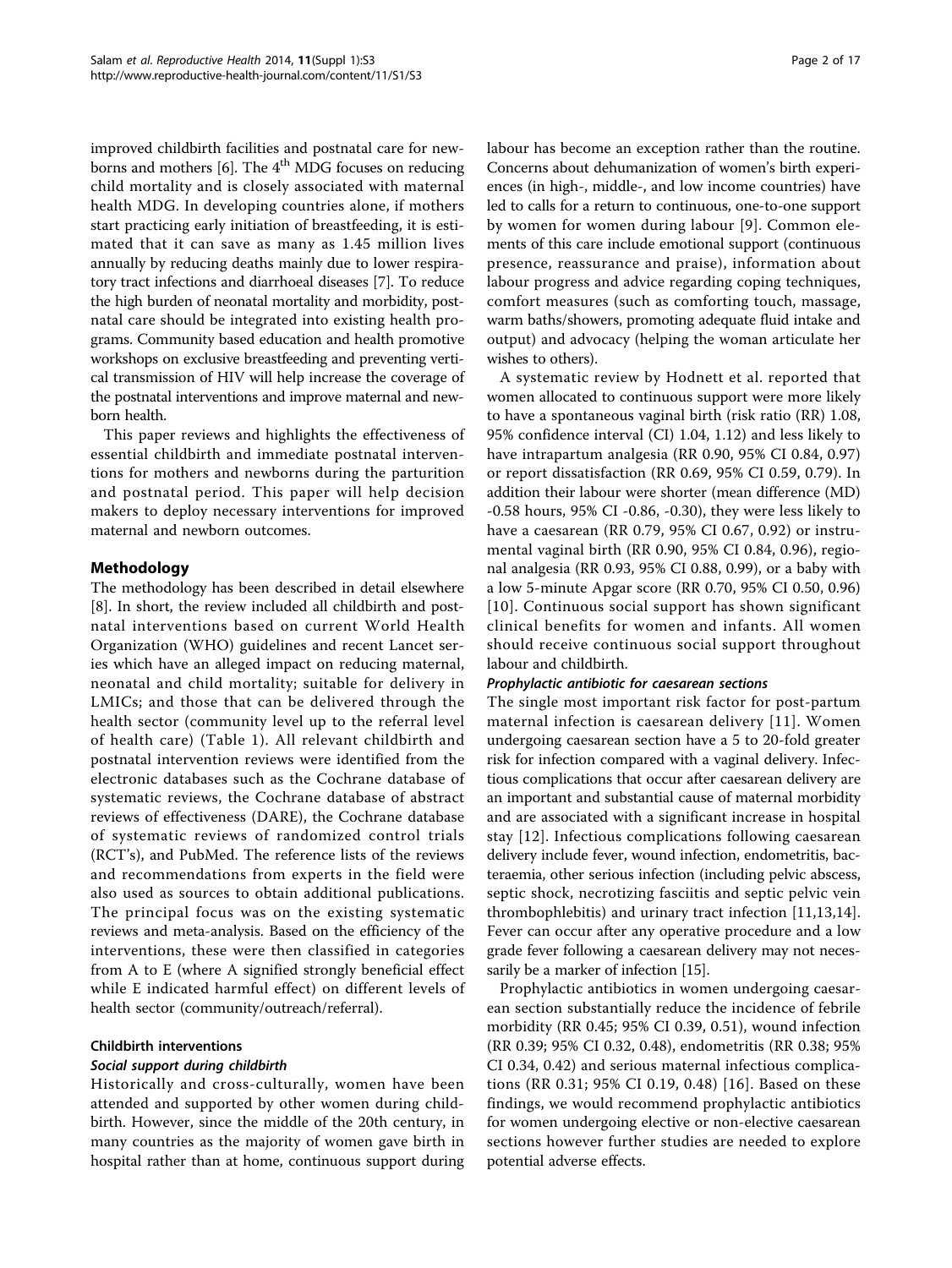improved childbirth facilities and postnatal care for newborns and mothers  $[6]$  $[6]$ . The  $4<sup>th</sup>$  MDG focuses on reducing child mortality and is closely associated with maternal health MDG. In developing countries alone, if mothers start practicing early initiation of breastfeeding, it is estimated that it can save as many as 1.45 million lives annually by reducing deaths mainly due to lower respiratory tract infections and diarrhoeal diseases [[7](#page-14-0)]. To reduce the high burden of neonatal mortality and morbidity, postnatal care should be integrated into existing health programs. Community based education and health promotive workshops on exclusive breastfeeding and preventing vertical transmission of HIV will help increase the coverage of the postnatal interventions and improve maternal and newborn health.

This paper reviews and highlights the effectiveness of essential childbirth and immediate postnatal interventions for mothers and newborns during the parturition and postnatal period. This paper will help decision makers to deploy necessary interventions for improved maternal and newborn outcomes.

#### Methodology

The methodology has been described in detail elsewhere [[8\]](#page-14-0). In short, the review included all childbirth and postnatal interventions based on current World Health Organization (WHO) guidelines and recent Lancet series which have an alleged impact on reducing maternal, neonatal and child mortality; suitable for delivery in LMICs; and those that can be delivered through the health sector (community level up to the referral level of health care) (Table [1](#page-2-0)). All relevant childbirth and postnatal intervention reviews were identified from the electronic databases such as the Cochrane database of systematic reviews, the Cochrane database of abstract reviews of effectiveness (DARE), the Cochrane database of systematic reviews of randomized control trials (RCT's), and PubMed. The reference lists of the reviews and recommendations from experts in the field were also used as sources to obtain additional publications. The principal focus was on the existing systematic reviews and meta-analysis. Based on the efficiency of the interventions, these were then classified in categories from A to E (where A signified strongly beneficial effect while E indicated harmful effect) on different levels of health sector (community/outreach/referral).

#### Childbirth interventions

#### Social support during childbirth

Historically and cross-culturally, women have been attended and supported by other women during childbirth. However, since the middle of the 20th century, in many countries as the majority of women gave birth in hospital rather than at home, continuous support during labour has become an exception rather than the routine. Concerns about dehumanization of women's birth experiences (in high-, middle-, and low income countries) have led to calls for a return to continuous, one-to-one support by women for women during labour [\[9](#page-14-0)]. Common elements of this care include emotional support (continuous presence, reassurance and praise), information about labour progress and advice regarding coping techniques, comfort measures (such as comforting touch, massage, warm baths/showers, promoting adequate fluid intake and output) and advocacy (helping the woman articulate her wishes to others).

A systematic review by Hodnett et al. reported that women allocated to continuous support were more likely to have a spontaneous vaginal birth (risk ratio (RR) 1.08, 95% confidence interval (CI) 1.04, 1.12) and less likely to have intrapartum analgesia (RR 0.90, 95% CI 0.84, 0.97) or report dissatisfaction (RR 0.69, 95% CI 0.59, 0.79). In addition their labour were shorter (mean difference (MD) -0.58 hours, 95% CI -0.86, -0.30), they were less likely to have a caesarean (RR 0.79, 95% CI 0.67, 0.92) or instrumental vaginal birth (RR 0.90, 95% CI 0.84, 0.96), regional analgesia (RR 0.93, 95% CI 0.88, 0.99), or a baby with a low 5-minute Apgar score (RR 0.70, 95% CI 0.50, 0.96) [[10\]](#page-14-0). Continuous social support has shown significant clinical benefits for women and infants. All women should receive continuous social support throughout labour and childbirth.

#### Prophylactic antibiotic for caesarean sections

The single most important risk factor for post-partum maternal infection is caesarean delivery [[11](#page-14-0)]. Women undergoing caesarean section have a 5 to 20-fold greater risk for infection compared with a vaginal delivery. Infectious complications that occur after caesarean delivery are an important and substantial cause of maternal morbidity and are associated with a significant increase in hospital stay [[12\]](#page-14-0). Infectious complications following caesarean delivery include fever, wound infection, endometritis, bacteraemia, other serious infection (including pelvic abscess, septic shock, necrotizing fasciitis and septic pelvic vein thrombophlebitis) and urinary tract infection [[11,13,14](#page-14-0)]. Fever can occur after any operative procedure and a low grade fever following a caesarean delivery may not necessarily be a marker of infection [\[15\]](#page-14-0).

Prophylactic antibiotics in women undergoing caesarean section substantially reduce the incidence of febrile morbidity (RR 0.45; 95% CI 0.39, 0.51), wound infection (RR 0.39; 95% CI 0.32, 0.48), endometritis (RR 0.38; 95% CI 0.34, 0.42) and serious maternal infectious complications (RR 0.31; 95% CI 0.19, 0.48) [[16](#page-14-0)]. Based on these findings, we would recommend prophylactic antibiotics for women undergoing elective or non-elective caesarean sections however further studies are needed to explore potential adverse effects.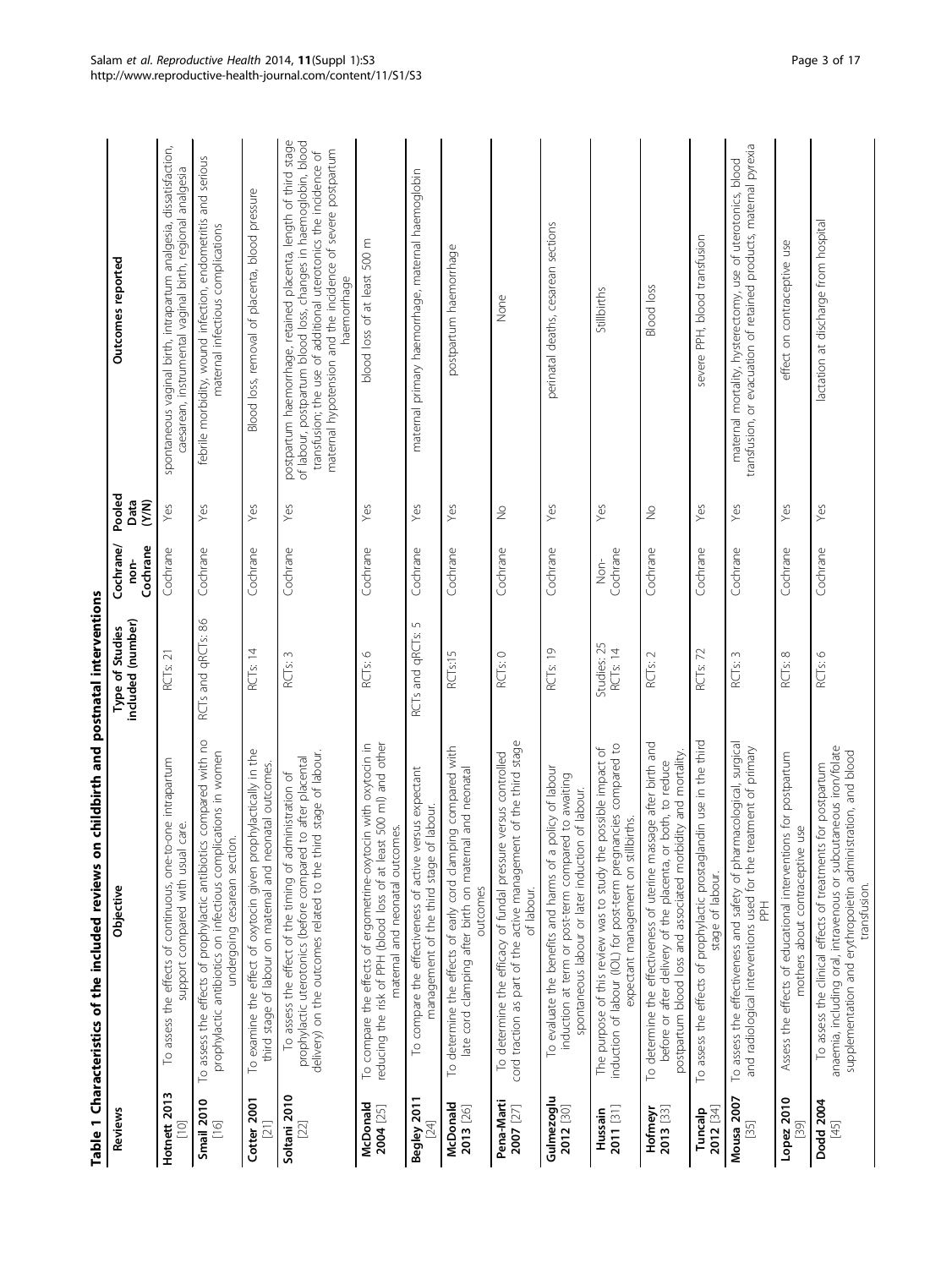<span id="page-2-0"></span>

| Reviews                     | Objective                                                                                                                                                                                                       | included (number)<br>Type of Studies | Cochrane/<br>Cochrane<br>non- | Pooled<br>Data<br>(X/N)  | Outcomes reported                                                                                                                                                                                                                                                                    |
|-----------------------------|-----------------------------------------------------------------------------------------------------------------------------------------------------------------------------------------------------------------|--------------------------------------|-------------------------------|--------------------------|--------------------------------------------------------------------------------------------------------------------------------------------------------------------------------------------------------------------------------------------------------------------------------------|
| Hotnett 2013<br>$[10]$      | To assess the effects of continuous, one-to-one intrapartum<br>support compared with usual care.                                                                                                                | RCT <sub>S</sub> : 21                | Cochrane                      | Yes                      | spontaneous vaginal birth, intrapartum analgesia, dissatisfaction,<br>caesarean, instrumental vaginal birth, regional analgesia                                                                                                                                                      |
| <b>Smail 2010</b><br>$[16]$ | To assess the effects of prophylactic antibiotics compared with no<br>prophylactic antibiotics on infectious complications in women<br>undergoing cesarean section.                                             | RCTs and qRCTs: 86                   | Cochrane                      | Yes                      | febrile morbidity, wound infection, endometritis and serious<br>maternal infectious complications                                                                                                                                                                                    |
| Cotter 2001<br>$[21]$       | To examine the effect of oxytocin given prophylactically in the<br>third stage of labour on maternal and neonatal outcomes.                                                                                     | RCTs: 14                             | Cochrane                      | Yes                      | Blood loss, removal of placenta, blood pressure                                                                                                                                                                                                                                      |
| Soltani 2010<br>$[22]$      | delivery) on the outcomes related to the third stage of labour.<br>prophylactic uterotonics (before compared to after placental<br>To assess the effect of the timing of administration of                      | RCT <sub>S</sub> : 3                 | Cochrane                      | Yes                      | postpartum haemorrhage, retained placenta, length of third stage<br>of labour, postpartum blood loss, changes in haemoglobin, blood<br>maternal hypotension and the incidence of severe postpartum<br>transfusion; the use of additional uterotonics the incidence of<br>haemorrhage |
| McDonald<br>2004 [25]       | reducing the risk of PPH (blood loss of at least 500 ml) and other<br>To compare the effects of ergometrine-oxytocin with oxytocin in<br>maternal and neonatal outcomes.                                        | $\circ$<br>RCT <sub>S</sub> :        | Cochrane                      | Yes                      | blood loss of at least 500 m                                                                                                                                                                                                                                                         |
| Begley 2011<br>$[24]$       | versus expectant<br>of labour.<br>To compare the effectiveness of active<br>management of the third stage                                                                                                       | RCTs and qRCTs: 5                    | Cochrane                      | Yes                      | maternal primary haemorrhage, maternal haemoglobin                                                                                                                                                                                                                                   |
| McDonald<br>2013 [26]       | To determine the effects of early cord clamping compared with<br>late cord clamping after birth on maternal and neonatal<br>outcomes                                                                            | RCT <sub>S:15</sub>                  | Cochrane                      | Yes                      | postpartum haemorrhage                                                                                                                                                                                                                                                               |
| Pena-Marti<br>2007 [27]     | cord traction as part of the active management of the third stage<br>To determine the efficacy of fundal pressure versus controlled<br>of labour.                                                               | RCT <sub>S</sub> : 0                 | Cochrane                      | $\frac{1}{2}$            | None                                                                                                                                                                                                                                                                                 |
| Gulmezoglu<br>2012 [30]     | a policy of labour<br>induction at term or post-term compared to awaiting<br>spontaneous labour or later induction of labour.<br>To evaluate the benefits and harms of                                          | RCT <sub>S</sub> : 19                | Cochrane                      | Yes                      | perinatal deaths, cesarean sections                                                                                                                                                                                                                                                  |
| 2011 [31]<br>Hussain        | induction of labour (IOL) for post-term pregnancies compared to<br>The purpose of this review was to study the possible impact of<br>expectant management on stillbirths.                                       | Studies: 25<br>RCT <sub>S</sub> : 14 | Cochrane<br>Non-              | Yes                      | Stillbirths                                                                                                                                                                                                                                                                          |
| 2013 [33]<br>Hofmeyr        | To determine the effectiveness of uterine massage after birth and<br>postpartum blood loss and associated morbidity and mortality.<br>or both, to reduce<br>before or after delivery of the placenta,           | $\sim$<br>RCT <sub>S</sub> :         | Cochrane                      | $\stackrel{\circ}{\geq}$ | <b>Blood</b> loss                                                                                                                                                                                                                                                                    |
| 2012 [34]<br>Tuncalp        | To assess the effects of prophylactic prostaglandin use in the third<br>stage of labour.                                                                                                                        | RCT <sub>S</sub> : 72                | Cochrane                      | Yes                      | severe PPH, blood transfusion                                                                                                                                                                                                                                                        |
| Mousa 2007<br>[35]          | To assess the effectiveness and safety of pharmacological, surgical<br>treatment of primary<br>and radiological interventions used for the<br><b>Hdd</b>                                                        | 3<br>RCT <sub>S</sub> :              | Cochrane                      | Yes                      | transfusion, or evacuation of retained products, maternal pyrexia<br>maternal mortality, hysterectomy, use of uterotonics, blood                                                                                                                                                     |
| Lopez 2010<br>[39]          | Assess the effects of educational interventions for postpartum<br>mothers about contraceptive use                                                                                                               | RCT <sub>S</sub> : 8                 | Cochrane                      | Yes                      | effect on contraceptive use                                                                                                                                                                                                                                                          |
| <b>Dodd 2004</b><br>$[45]$  | anaemia, including oral, intravenous or subcutaneous iron/folate<br>supplementation and erythropoietin administration, and blood<br>To assess the clinical effects of treatments for postpartum<br>transfusion. | RCTs: 6                              | Cochrane                      | Yes                      | lactation at discharge from hospital                                                                                                                                                                                                                                                 |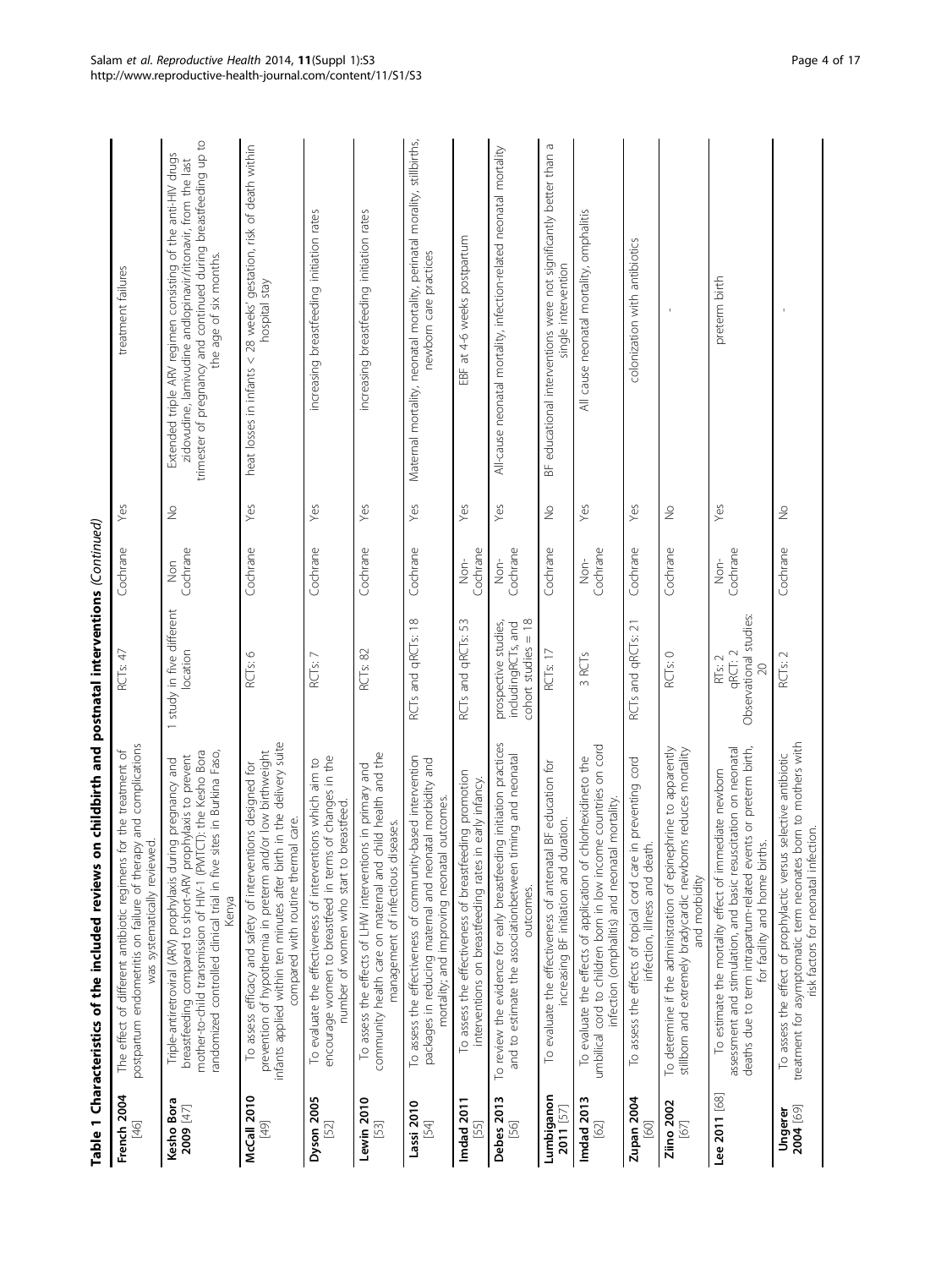| l         |
|-----------|
|           |
|           |
|           |
|           |
|           |
|           |
|           |
|           |
|           |
|           |
|           |
| i         |
|           |
| able<br>í |

|                               | Table 1 Characteristics of the included reviews on                                                                                                                                                                                                                         | childbirth and postnatal interventions (Continued)                  |                  |                          |                                                                                                                                                                                                                           |
|-------------------------------|----------------------------------------------------------------------------------------------------------------------------------------------------------------------------------------------------------------------------------------------------------------------------|---------------------------------------------------------------------|------------------|--------------------------|---------------------------------------------------------------------------------------------------------------------------------------------------------------------------------------------------------------------------|
| <b>French 2004</b><br>[46]    | postpartum endometritis on failure of therapy and complications<br>The effect of different antibiotic regimens for the treatment of<br>was systematically reviewed.                                                                                                        | RCTs: 47                                                            | Cochrane         | Yes                      | treatment failures                                                                                                                                                                                                        |
| Kesho Bora<br>2009 [47]       | mother-to-child transmission of HIV-1 (PMTCT): the Kesho Bora<br>andomized controlled clinical trial in five sites in Burkina Faso,<br>breastfeeding compared to short-ARV prophylaxis to prevent<br>Triple-antiretroviral (ARV) prophylaxis during pregnancy and<br>Kenya | 1 study in five different<br>location                               | Cochrane<br>Non  | $\frac{1}{2}$            | trimester of pregnancy and continued during breastfeeding up to<br>Extended triple ARV regimen consisting of the anti-HIV drugs<br>zidovudine, lamivudine andlopinavir/ritonavir, from the last<br>the age of six months. |
| McCall 2010<br>$\frac{49}{2}$ | infants applied within ten minutes after birth in the delivery suite<br>prevention of hypothermia in preterm and/or low birthweight<br>To assess efficacy and safety of interventions designed for<br>care.<br>compared with routine thermal                               | RCTs: 6                                                             | Cochrane         | Yes                      | heat losses in infants < 28 weeks' gestation, risk of death within<br>hospital stay                                                                                                                                       |
| <b>Dyson 2005</b><br>521      | of changes in the<br>To evaluate the effectiveness of interventions which aim to<br>number of women who start to breastfeed.<br>encourage women to breastfeed in terms                                                                                                     | RCT <sub>S:7</sub>                                                  | Cochrane         | Yes                      | increasing breastfeeding initiation rates                                                                                                                                                                                 |
| Lewin 2010<br>$[53]$          | community health care on maternal and child health and the<br>To assess the effects of LHW interventions in primary and<br>management of infectious diseases.                                                                                                              | RCT <sub>S</sub> : 82                                               | Cochrane         | Yes                      | increasing breastfeeding initiation rates                                                                                                                                                                                 |
| Lassi 2010<br>$[54]$          | To assess the effectiveness of community-based intervention<br>packages in reducing maternal and neonatal morbidity and<br>mortality; and improving neonatal outcomes.                                                                                                     | RCTs and qRCTs: 18                                                  | Cochrane         | Yes                      | Maternal mortality, neonatal mortality, perinatal morality, stillbirths,<br>newborn care practices                                                                                                                        |
| Imdad 2011<br>$[55]$          | To assess the effectiveness of breastfeeding promotion<br>early infancy.<br>interventions on breastfeeding rates in                                                                                                                                                        | RCTs and qRCTs: 53                                                  | Cochrane<br>Non- | Yes                      | EBF at 4-6 weeks postpartum                                                                                                                                                                                               |
| <b>Debes 2013</b><br>[56]     | To review the evidence for early breastfeeding initiation practices<br>and to estimate the associationbetween timing and neonatal<br>outcomes.                                                                                                                             | cohort studies $= 18$<br>prospective studies,<br>includingRCTs, and | Cochrane<br>Non- | Yes                      | All-cause neonatal mortality, infection-related neonatal mortality                                                                                                                                                        |
| Lumbiganon<br>2011 [57]       | BF education for<br>increasing BF initiation and duration.<br>To evaluate the effectiveness of antenatal                                                                                                                                                                   | RCTs: 17                                                            | Cochrane         | $\frac{1}{2}$            | BF educational interventions were not significantly better than a<br>single intervention                                                                                                                                  |
| Imdad 2013<br>2               | umbilical cord to children born in low income countries on cord<br>To evaluate the effects of application of chlorhexidineto the<br>mortality<br>infection (omphalitis) and neonatal                                                                                       | 3 RCT <sub>S</sub>                                                  | Cochrane<br>Non- | Yes                      | All cause neonatal mortality, omphalitis                                                                                                                                                                                  |
| Zupan 2004<br>60              | To assess the effects of topical cord care in preventing cord<br>infection, illness and death.                                                                                                                                                                             | RCTs and qRCTs: 21                                                  | Cochrane         | Yes                      | colonization with antibiotics                                                                                                                                                                                             |
| Ziino 2002<br>[67]            | To determine if the administration of epinephrine to apparently<br>stillborn and extremely bradycardic newborns reduces mortality<br>and morbidity                                                                                                                         | RCT <sub>S</sub> : 0                                                | Cochrane         | $\stackrel{\circ}{\geq}$ |                                                                                                                                                                                                                           |
| Lee 2011 $[68]$               | deaths due to term intrapartum-related events or preterm birth,<br>assessment and stimulation, and basic resuscitation on neonatal<br>To estimate the mortality effect of immediate newborn<br>for facility and home births.                                               | Observational studies:<br>qRCT: 2<br>RT <sub>S</sub> : 2<br>20      | Cochrane<br>Non- | Yes                      | preterm birth                                                                                                                                                                                                             |
| 2004 [69]<br>Ungerer          | treatment for asymptomatic term neonates born to mothers with<br>To assess the effect of prophylactic versus selective antibiotic<br>risk factors for neonatal infection.                                                                                                  | RCT <sub>S</sub> : 2                                                | Cochrane         | $\frac{\circ}{\sim}$     |                                                                                                                                                                                                                           |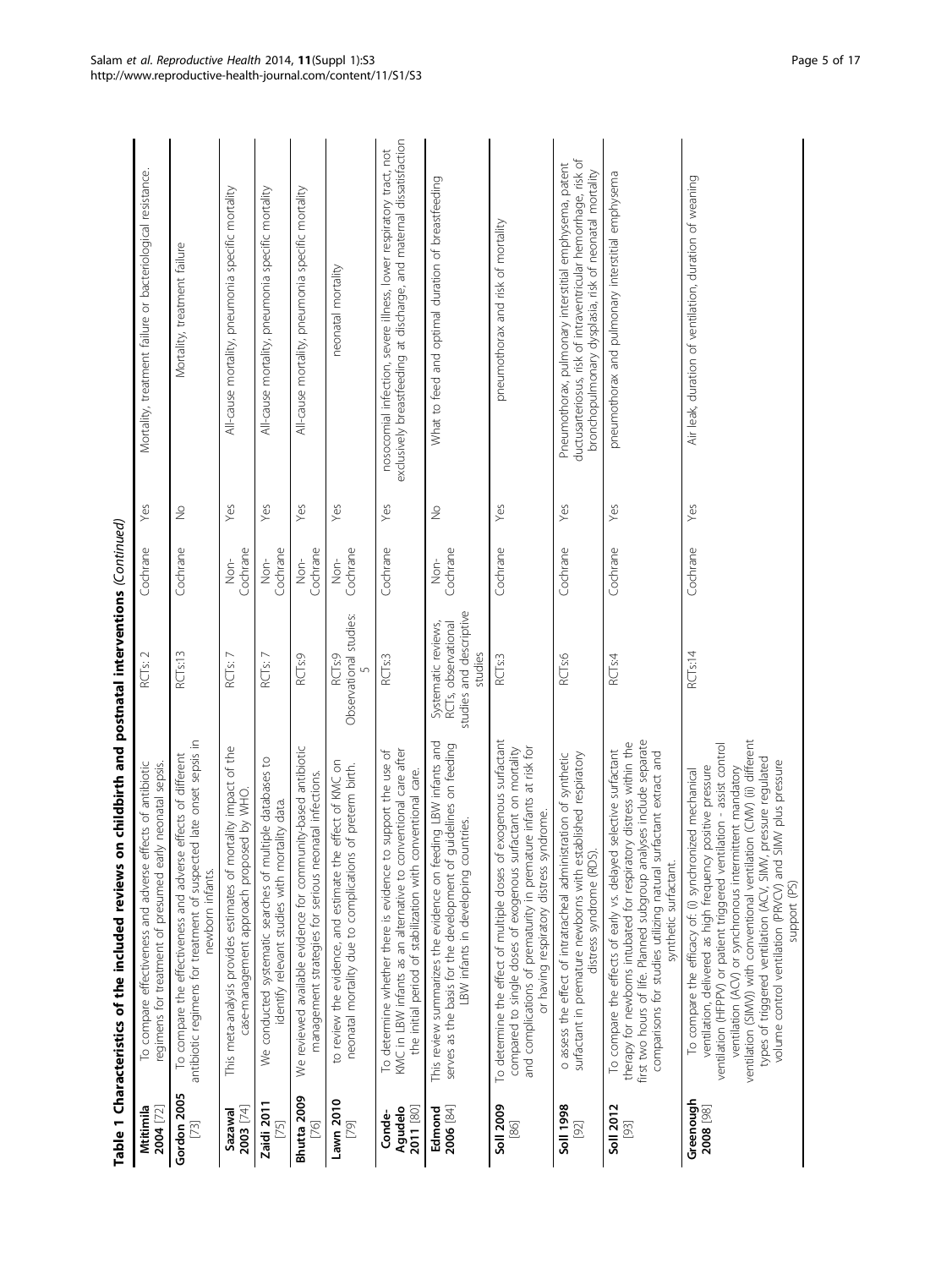|                                | Table 1 Characteristics of the included reviews on childbirth and postnatal interventions (Continued)                                                                                                                                                                                                                                                                                                                                                                                      |                                                                                  |                  |               |                                                                                                                                                                                    |
|--------------------------------|--------------------------------------------------------------------------------------------------------------------------------------------------------------------------------------------------------------------------------------------------------------------------------------------------------------------------------------------------------------------------------------------------------------------------------------------------------------------------------------------|----------------------------------------------------------------------------------|------------------|---------------|------------------------------------------------------------------------------------------------------------------------------------------------------------------------------------|
| Mtitimila<br>2004 [72]         | regimens for treatment of presumed early neonatal sepsis.<br>To compare effectiveness and adverse effects of antibiotic                                                                                                                                                                                                                                                                                                                                                                    | RCT <sub>S</sub> :                                                               | Cochrane         | Yes           | Mortality, treatment failure or bacteriological resistance.                                                                                                                        |
| Gordon 2005<br>[73]            | antibiotic regimens for treatment of suspected late onset sepsis in<br>To compare the effectiveness and adverse effects of different<br>newborn infants.                                                                                                                                                                                                                                                                                                                                   | RCT <sub>S:13</sub>                                                              | Cochrane         | $\frac{1}{2}$ | Mortality, treatment failure                                                                                                                                                       |
| 2003 [74]<br>Sazawa            | This meta-analysis provides estimates of mortality impact of the<br>case-management approach proposed by WHO                                                                                                                                                                                                                                                                                                                                                                               | RCT <sub>S</sub> :                                                               | Cochrane<br>Non- | Yes           | All-cause mortality, pneumonia specific mortality                                                                                                                                  |
| Zaidi 2011<br>$[75]$           | We conducted systematic searches of multiple databases to<br>identify relevant studies with mortality data.                                                                                                                                                                                                                                                                                                                                                                                | RCT <sub>S</sub> : 7                                                             | Cochrane<br>Non- | Yes           | All-cause mortality, pneumonia specific mortality                                                                                                                                  |
| Bhutta 2009<br>[76]            | We reviewed available evidence for community-based antibiotic<br>management strategies for serious neonatal infections.                                                                                                                                                                                                                                                                                                                                                                    | RCT <sub>S:9</sub>                                                               | Cochrane<br>Non- | Yes           | All-cause mortality, pneumonia specific mortality                                                                                                                                  |
| Lawn 2010<br>$[79]$            | to review the evidence, and estimate the effect of KMC on<br>of preterm birth.<br>neonatal mortality due to complications                                                                                                                                                                                                                                                                                                                                                                  | Observational studies:<br>RCT <sub>S:9</sub>                                     | Cochrane<br>Non- | Yes           | neonatal mortality                                                                                                                                                                 |
| Agudelo<br>2011 [80]<br>Conde- | To determine whether there is evidence to support the use of<br>KMC in LBW infants as an alternative to conventional care after<br>the initial period of stabilization with conventional care.                                                                                                                                                                                                                                                                                             | RCT <sub>S:3</sub>                                                               | Cochrane         | Yes           | exclusively breastfeeding at discharge, and maternal dissatisfaction<br>nosocomial infection, severe illness, lower respiratory tract, not                                         |
| 2006 [84]<br>Edmond            | This review summarizes the evidence on feeding LBW infants and<br>guidelines on feeding<br>LBW infants in developing countries.<br>serves as the basis for the development of                                                                                                                                                                                                                                                                                                              | studies and descriptive<br>RCTs, observational<br>Systematic reviews,<br>studies | Cochrane<br>Non- | $\geq$        | What to feed and optimal duration of breastfeeding                                                                                                                                 |
| Soll 2009<br>$[86]$            | exogenous surfactant<br>and complications of prematurity in premature infants at risk for<br>compared to single doses of exogenous surfactant on mortality<br>or having respiratory distress syndrome.<br>To determine the effect of multiple doses of                                                                                                                                                                                                                                     | RCT <sub>5:3</sub>                                                               | Cochrane         | Yes           | pneumothorax and risk of mortality                                                                                                                                                 |
| <b>Seel 1998</b><br>[92]       | surfactant in premature newborns with established respiratory<br>o assess the effect of intratracheal administration of synthetic<br>distress syndrome (RDS).                                                                                                                                                                                                                                                                                                                              | RCT <sub>S</sub> :6                                                              | Cochrane         | Yes           | ductusarteriosus, risk of intraventricular hemorrhage, risk of<br>Pneumothorax, pulmonary interstitial emphysema, patent<br>bronchopulmonary dysplasia, risk of neonatal mortality |
| <b>Soll 2012</b><br>$[93]$     | first two hours of life. Planned subgroup analyses include separate<br>therapy for newborns intubated for respiratory distress within the<br>To compare the effects of early vs. delayed selective surfactant<br>comparisons for studies utilizing natural surfactant extract and<br>synthetic surfactant.                                                                                                                                                                                 | RCT <sub>S:4</sub>                                                               | Cochrane         | Yes           | pneumothorax and pulmonary interstitial emphysema                                                                                                                                  |
| Greenough<br>2008 [98]         | ventilation (SIMV)) with conventional ventilation (CMV) (ii) different<br>ventilation (HFPPV) or patient triggered ventilation - assist control<br>pressure regulated<br>SIMV plus pressure<br>positive pressure<br>ventilation (ACV) or synchronous intermittent mandatory<br>To compare the efficacy of: (i) synchronized mechanical<br>ventilation, delivered as high frequency<br>types of triggered ventilation (ACV, SIMV,<br>volume control ventilation (PRVCV) and<br>support (PS) | RCTs:14                                                                          | Cochrane         | Yes           | Air leak, duration of ventilation, duration of weaning                                                                                                                             |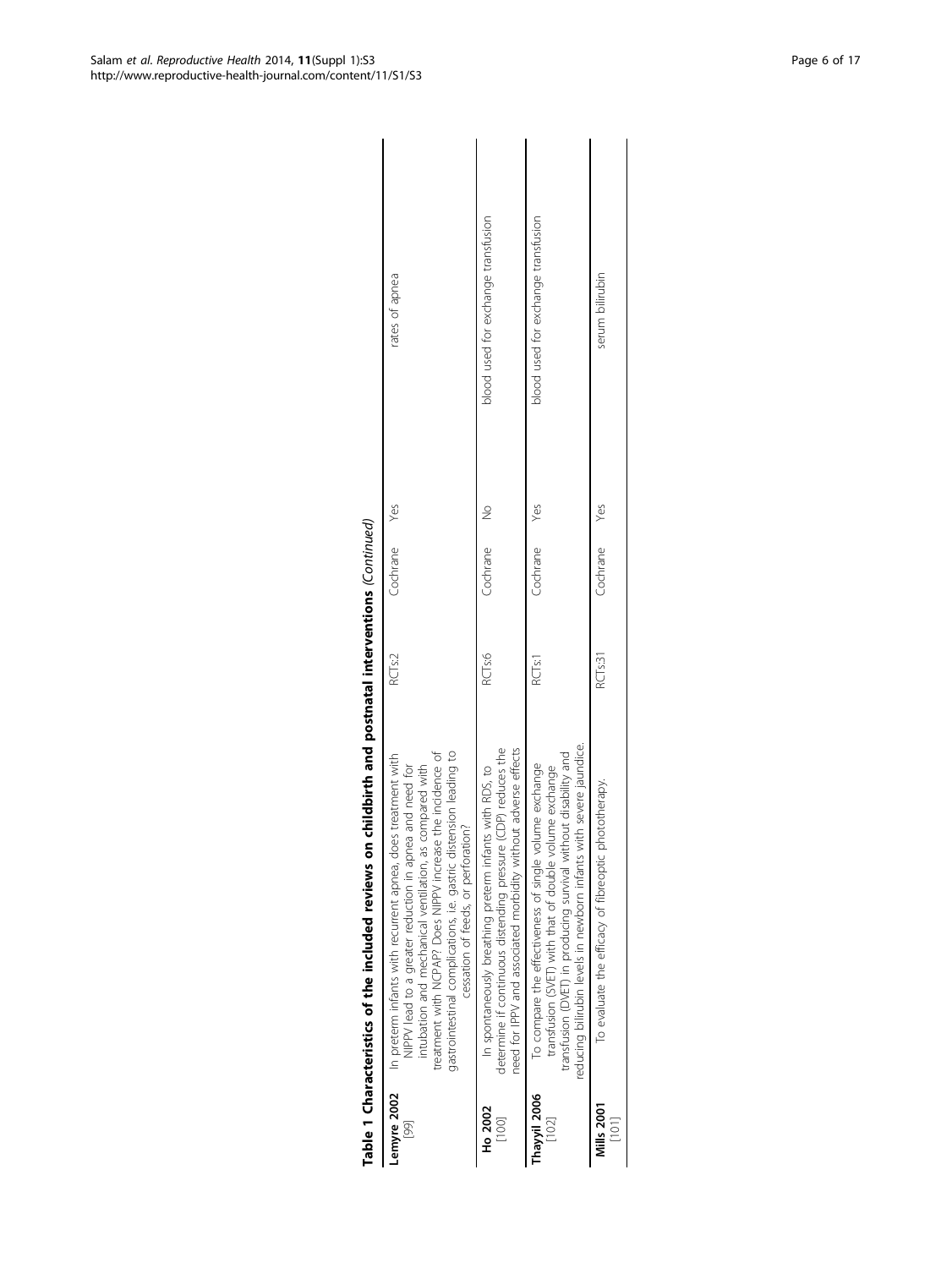|                            | Table 1 Characteristics of the included reviews on childbirth and postnatal interventions (Continued)                                                                                                                                                                                                                                                         |                    |          |        |                                     |
|----------------------------|---------------------------------------------------------------------------------------------------------------------------------------------------------------------------------------------------------------------------------------------------------------------------------------------------------------------------------------------------------------|--------------------|----------|--------|-------------------------------------|
| Lemyre 2002<br>99          | gastrointestinal complications, i.e. gastric distension leading to<br>treatment with NCPAP? Does NIPPV increase the incidence of<br>In preterm infants with recurrent apnea, does treatment with<br>NIPPV lead to a greater reduction in apnea and need for<br>intubation and mechanical ventilation, as compared with<br>cessation of feeds, or perforation? | RCTs:2             | Cochrane | Yes    | rates of apnea                      |
| Ho 2002<br>[100]           | determine if continuous distending pressure (CDP) reduces the<br>need for IPPV and associated morbidity without adverse effects<br>In spontaneously breathing preterm infants with RDS, to                                                                                                                                                                    | RCT <sub>5:6</sub> | Cochrane | $\geq$ | blood used for exchange transfusion |
| Thayyil 2006<br> 102       | with severe jaundice.<br>transfusion (DVET) in producing survival without disability and<br>To compare the effectiveness of single volume exchange<br>transfusion (SVET) with that of double volume exchange<br>reducing bilirubin levels in newborn infants                                                                                                  | rcts:1             | Cochrane | Yes    | blood used for exchange transfusion |
| <b>Mills 2001</b><br>[101] | phototherapy.<br>To evaluate the efficacy of fibreoptic                                                                                                                                                                                                                                                                                                       | RCTs:31            | Cochrane | Yes    | serum bilirubin                     |
|                            |                                                                                                                                                                                                                                                                                                                                                               |                    |          |        |                                     |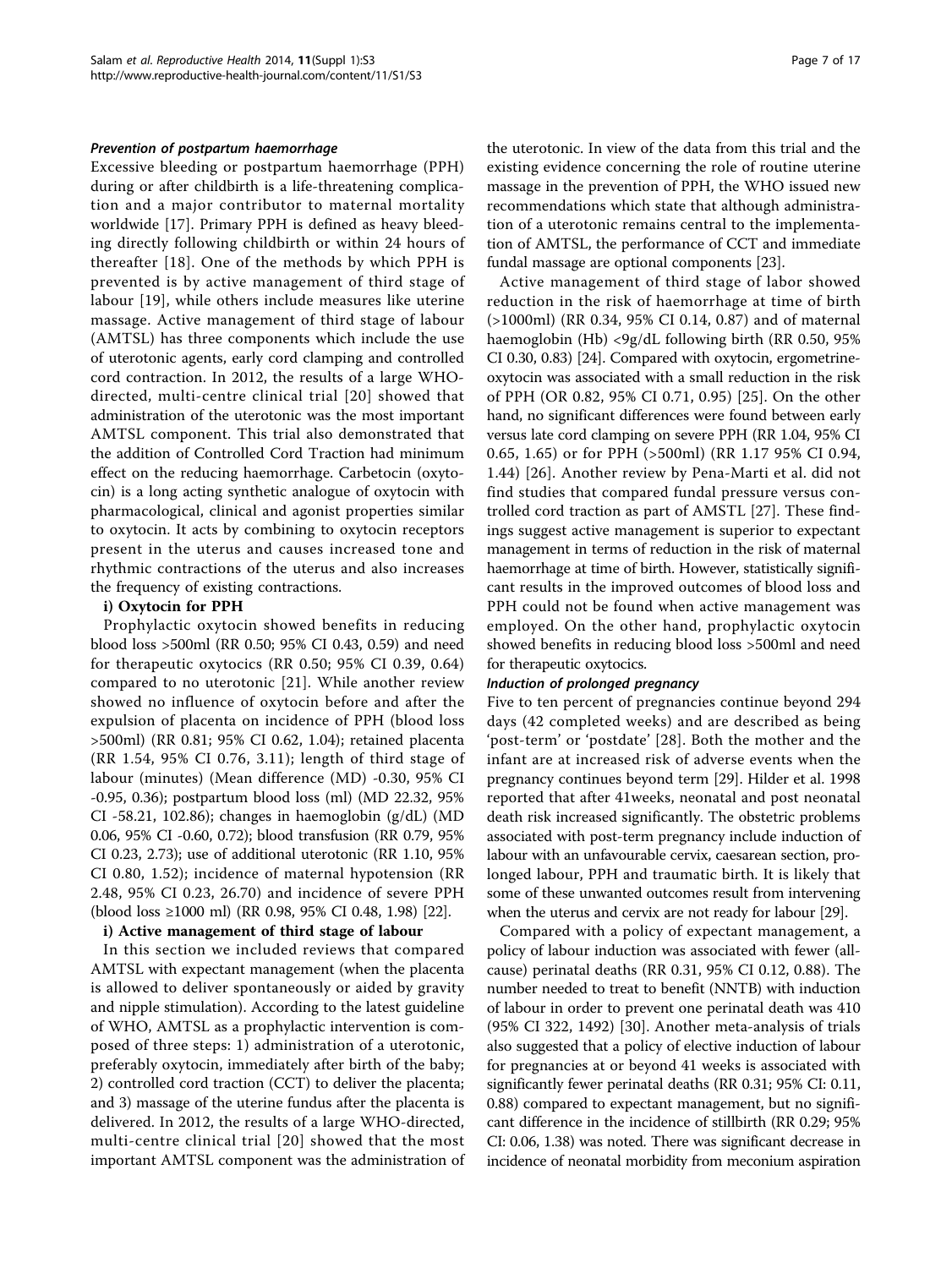#### Prevention of postpartum haemorrhage

Excessive bleeding or postpartum haemorrhage (PPH) during or after childbirth is a life-threatening complication and a major contributor to maternal mortality worldwide [\[17](#page-14-0)]. Primary PPH is defined as heavy bleeding directly following childbirth or within 24 hours of thereafter [[18](#page-14-0)]. One of the methods by which PPH is prevented is by active management of third stage of labour [[19\]](#page-14-0), while others include measures like uterine massage. Active management of third stage of labour (AMTSL) has three components which include the use of uterotonic agents, early cord clamping and controlled cord contraction. In 2012, the results of a large WHOdirected, multi-centre clinical trial [[20\]](#page-14-0) showed that administration of the uterotonic was the most important AMTSL component. This trial also demonstrated that the addition of Controlled Cord Traction had minimum effect on the reducing haemorrhage. Carbetocin (oxytocin) is a long acting synthetic analogue of oxytocin with pharmacological, clinical and agonist properties similar to oxytocin. It acts by combining to oxytocin receptors present in the uterus and causes increased tone and rhythmic contractions of the uterus and also increases the frequency of existing contractions.

#### i) Oxytocin for PPH

Prophylactic oxytocin showed benefits in reducing blood loss >500ml (RR 0.50; 95% CI 0.43, 0.59) and need for therapeutic oxytocics (RR 0.50; 95% CI 0.39, 0.64) compared to no uterotonic [[21](#page-15-0)]. While another review showed no influence of oxytocin before and after the expulsion of placenta on incidence of PPH (blood loss >500ml) (RR 0.81; 95% CI 0.62, 1.04); retained placenta (RR 1.54, 95% CI 0.76, 3.11); length of third stage of labour (minutes) (Mean difference (MD) -0.30, 95% CI -0.95, 0.36); postpartum blood loss (ml) (MD 22.32, 95% CI -58.21, 102.86); changes in haemoglobin (g/dL) (MD 0.06, 95% CI -0.60, 0.72); blood transfusion (RR 0.79, 95% CI 0.23, 2.73); use of additional uterotonic (RR 1.10, 95% CI 0.80, 1.52); incidence of maternal hypotension (RR 2.48, 95% CI 0.23, 26.70) and incidence of severe PPH (blood loss ≥1000 ml) (RR 0.98, 95% CI 0.48, 1.98) [[22](#page-15-0)].

#### i) Active management of third stage of labour

In this section we included reviews that compared AMTSL with expectant management (when the placenta is allowed to deliver spontaneously or aided by gravity and nipple stimulation). According to the latest guideline of WHO, AMTSL as a prophylactic intervention is composed of three steps: 1) administration of a uterotonic, preferably oxytocin, immediately after birth of the baby; 2) controlled cord traction (CCT) to deliver the placenta; and 3) massage of the uterine fundus after the placenta is delivered. In 2012, the results of a large WHO-directed, multi-centre clinical trial [[20](#page-14-0)] showed that the most important AMTSL component was the administration of

the uterotonic. In view of the data from this trial and the existing evidence concerning the role of routine uterine massage in the prevention of PPH, the WHO issued new recommendations which state that although administration of a uterotonic remains central to the implementation of AMTSL, the performance of CCT and immediate fundal massage are optional components [\[23](#page-15-0)].

Active management of third stage of labor showed reduction in the risk of haemorrhage at time of birth (>1000ml) (RR 0.34, 95% CI 0.14, 0.87) and of maternal haemoglobin (Hb) <9g/dL following birth (RR 0.50, 95% CI 0.30, 0.83) [\[24\]](#page-15-0). Compared with oxytocin, ergometrineoxytocin was associated with a small reduction in the risk of PPH (OR 0.82, 95% CI 0.71, 0.95) [[25\]](#page-15-0). On the other hand, no significant differences were found between early versus late cord clamping on severe PPH (RR 1.04, 95% CI 0.65, 1.65) or for PPH (>500ml) (RR 1.17 95% CI 0.94, 1.44) [[26](#page-15-0)]. Another review by Pena-Marti et al. did not find studies that compared fundal pressure versus controlled cord traction as part of AMSTL [[27\]](#page-15-0). These findings suggest active management is superior to expectant management in terms of reduction in the risk of maternal haemorrhage at time of birth. However, statistically significant results in the improved outcomes of blood loss and PPH could not be found when active management was employed. On the other hand, prophylactic oxytocin showed benefits in reducing blood loss >500ml and need for therapeutic oxytocics.

#### Induction of prolonged pregnancy

Five to ten percent of pregnancies continue beyond 294 days (42 completed weeks) and are described as being 'post-term' or 'postdate' [\[28\]](#page-15-0). Both the mother and the infant are at increased risk of adverse events when the pregnancy continues beyond term [[29\]](#page-15-0). Hilder et al. 1998 reported that after 41weeks, neonatal and post neonatal death risk increased significantly. The obstetric problems associated with post-term pregnancy include induction of labour with an unfavourable cervix, caesarean section, prolonged labour, PPH and traumatic birth. It is likely that some of these unwanted outcomes result from intervening when the uterus and cervix are not ready for labour [\[29\]](#page-15-0).

Compared with a policy of expectant management, a policy of labour induction was associated with fewer (allcause) perinatal deaths (RR 0.31, 95% CI 0.12, 0.88). The number needed to treat to benefit (NNTB) with induction of labour in order to prevent one perinatal death was 410 (95% CI 322, 1492) [[30](#page-15-0)]. Another meta-analysis of trials also suggested that a policy of elective induction of labour for pregnancies at or beyond 41 weeks is associated with significantly fewer perinatal deaths (RR 0.31; 95% CI: 0.11, 0.88) compared to expectant management, but no significant difference in the incidence of stillbirth (RR 0.29; 95% CI: 0.06, 1.38) was noted. There was significant decrease in incidence of neonatal morbidity from meconium aspiration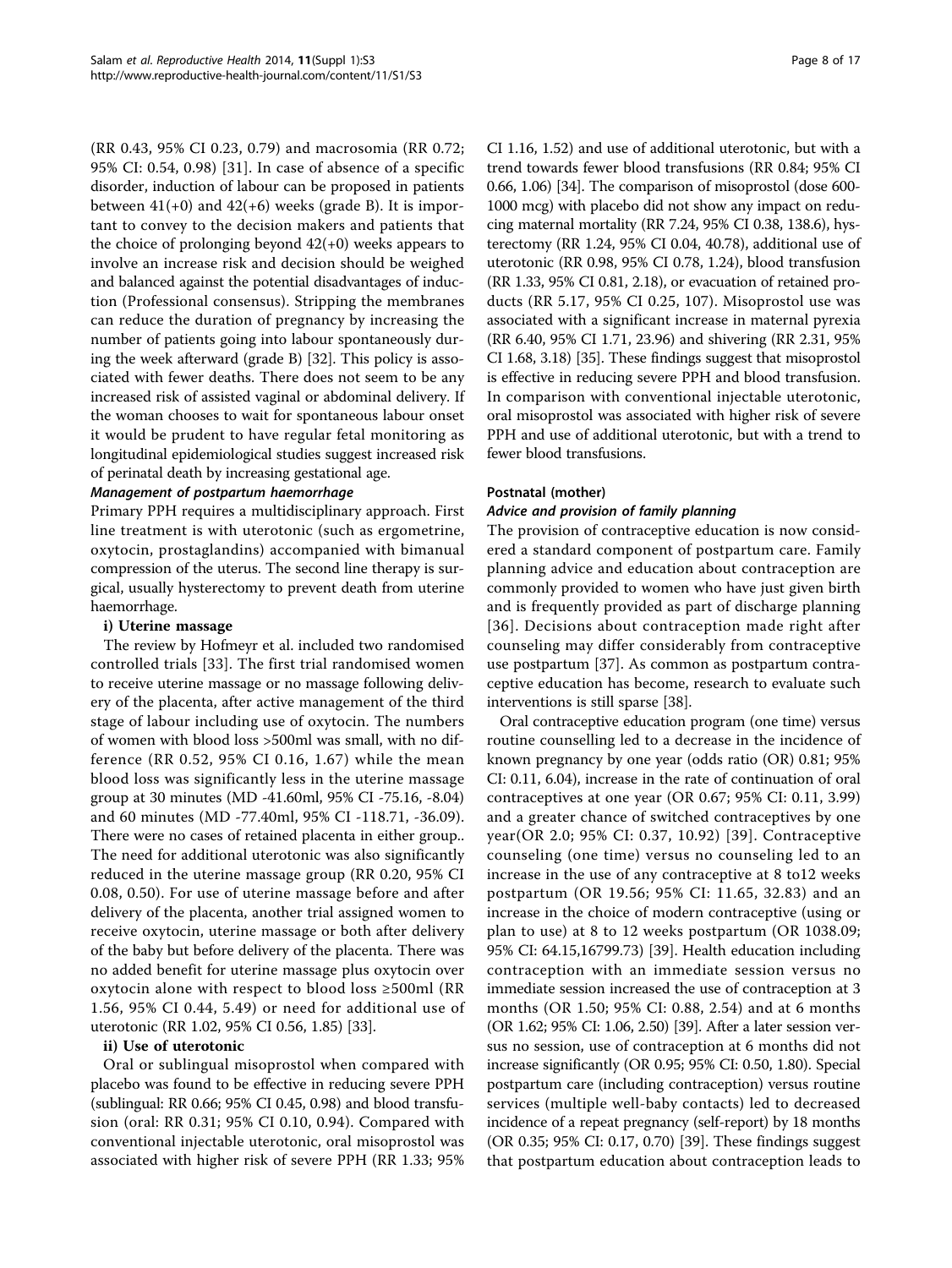(RR 0.43, 95% CI 0.23, 0.79) and macrosomia (RR 0.72; 95% CI: 0.54, 0.98) [\[31](#page-15-0)]. In case of absence of a specific disorder, induction of labour can be proposed in patients between  $41(+0)$  and  $42(+6)$  weeks (grade B). It is important to convey to the decision makers and patients that the choice of prolonging beyond  $42(+0)$  weeks appears to involve an increase risk and decision should be weighed and balanced against the potential disadvantages of induction (Professional consensus). Stripping the membranes can reduce the duration of pregnancy by increasing the number of patients going into labour spontaneously during the week afterward (grade B) [\[32](#page-15-0)]. This policy is associated with fewer deaths. There does not seem to be any increased risk of assisted vaginal or abdominal delivery. If the woman chooses to wait for spontaneous labour onset it would be prudent to have regular fetal monitoring as longitudinal epidemiological studies suggest increased risk of perinatal death by increasing gestational age.

#### Management of postpartum haemorrhage

Primary PPH requires a multidisciplinary approach. First line treatment is with uterotonic (such as ergometrine, oxytocin, prostaglandins) accompanied with bimanual compression of the uterus. The second line therapy is surgical, usually hysterectomy to prevent death from uterine haemorrhage.

#### i) Uterine massage

The review by Hofmeyr et al. included two randomised controlled trials [[33\]](#page-15-0). The first trial randomised women to receive uterine massage or no massage following delivery of the placenta, after active management of the third stage of labour including use of oxytocin. The numbers of women with blood loss >500ml was small, with no difference (RR 0.52, 95% CI 0.16, 1.67) while the mean blood loss was significantly less in the uterine massage group at 30 minutes (MD -41.60ml, 95% CI -75.16, -8.04) and 60 minutes (MD -77.40ml, 95% CI -118.71, -36.09). There were no cases of retained placenta in either group.. The need for additional uterotonic was also significantly reduced in the uterine massage group (RR 0.20, 95% CI 0.08, 0.50). For use of uterine massage before and after delivery of the placenta, another trial assigned women to receive oxytocin, uterine massage or both after delivery of the baby but before delivery of the placenta. There was no added benefit for uterine massage plus oxytocin over oxytocin alone with respect to blood loss ≥500ml (RR 1.56, 95% CI 0.44, 5.49) or need for additional use of uterotonic (RR 1.02, 95% CI 0.56, 1.85) [\[33](#page-15-0)].

#### ii) Use of uterotonic

Oral or sublingual misoprostol when compared with placebo was found to be effective in reducing severe PPH (sublingual: RR 0.66; 95% CI 0.45, 0.98) and blood transfusion (oral: RR 0.31; 95% CI 0.10, 0.94). Compared with conventional injectable uterotonic, oral misoprostol was associated with higher risk of severe PPH (RR 1.33; 95% CI 1.16, 1.52) and use of additional uterotonic, but with a trend towards fewer blood transfusions (RR 0.84; 95% CI 0.66, 1.06) [\[34\]](#page-15-0). The comparison of misoprostol (dose 600- 1000 mcg) with placebo did not show any impact on reducing maternal mortality (RR 7.24, 95% CI 0.38, 138.6), hysterectomy (RR 1.24, 95% CI 0.04, 40.78), additional use of uterotonic (RR 0.98, 95% CI 0.78, 1.24), blood transfusion (RR 1.33, 95% CI 0.81, 2.18), or evacuation of retained products (RR 5.17, 95% CI 0.25, 107). Misoprostol use was associated with a significant increase in maternal pyrexia (RR 6.40, 95% CI 1.71, 23.96) and shivering (RR 2.31, 95% CI 1.68, 3.18) [\[35\]](#page-15-0). These findings suggest that misoprostol is effective in reducing severe PPH and blood transfusion. In comparison with conventional injectable uterotonic, oral misoprostol was associated with higher risk of severe PPH and use of additional uterotonic, but with a trend to fewer blood transfusions.

#### Postnatal (mother)

#### Advice and provision of family planning

The provision of contraceptive education is now considered a standard component of postpartum care. Family planning advice and education about contraception are commonly provided to women who have just given birth and is frequently provided as part of discharge planning [[36\]](#page-15-0). Decisions about contraception made right after counseling may differ considerably from contraceptive use postpartum [\[37](#page-15-0)]. As common as postpartum contraceptive education has become, research to evaluate such interventions is still sparse [\[38\]](#page-15-0).

Oral contraceptive education program (one time) versus routine counselling led to a decrease in the incidence of known pregnancy by one year (odds ratio (OR) 0.81; 95% CI: 0.11, 6.04), increase in the rate of continuation of oral contraceptives at one year (OR 0.67; 95% CI: 0.11, 3.99) and a greater chance of switched contraceptives by one year(OR 2.0; 95% CI: 0.37, 10.92) [[39](#page-15-0)]. Contraceptive counseling (one time) versus no counseling led to an increase in the use of any contraceptive at 8 to12 weeks postpartum (OR 19.56; 95% CI: 11.65, 32.83) and an increase in the choice of modern contraceptive (using or plan to use) at 8 to 12 weeks postpartum (OR 1038.09; 95% CI: 64.15,16799.73) [\[39\]](#page-15-0). Health education including contraception with an immediate session versus no immediate session increased the use of contraception at 3 months (OR 1.50; 95% CI: 0.88, 2.54) and at 6 months (OR 1.62; 95% CI: 1.06, 2.50) [[39](#page-15-0)]. After a later session versus no session, use of contraception at 6 months did not increase significantly (OR 0.95; 95% CI: 0.50, 1.80). Special postpartum care (including contraception) versus routine services (multiple well-baby contacts) led to decreased incidence of a repeat pregnancy (self-report) by 18 months (OR 0.35; 95% CI: 0.17, 0.70) [\[39](#page-15-0)]. These findings suggest that postpartum education about contraception leads to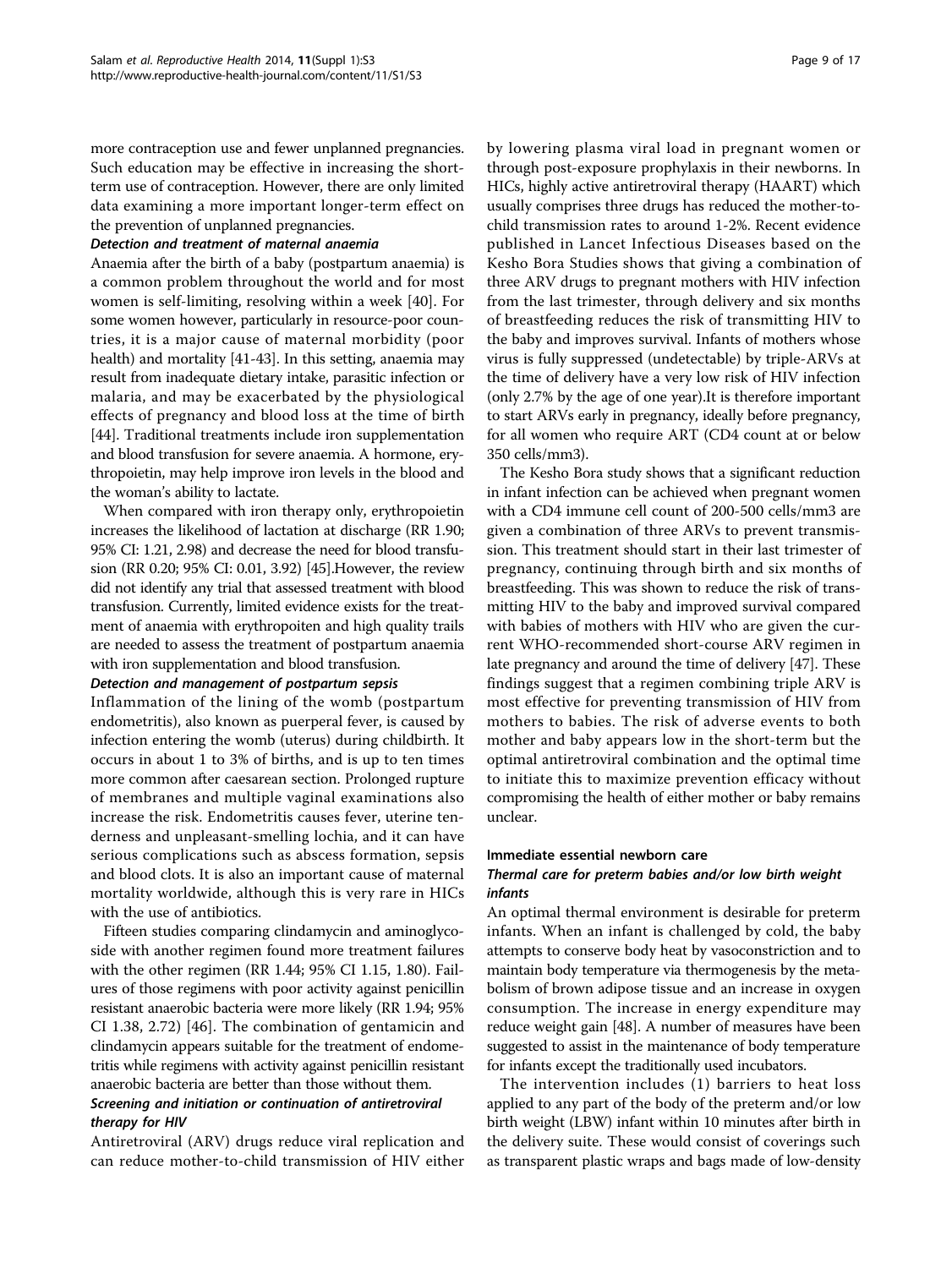more contraception use and fewer unplanned pregnancies. Such education may be effective in increasing the shortterm use of contraception. However, there are only limited data examining a more important longer-term effect on the prevention of unplanned pregnancies.

#### Detection and treatment of maternal anaemia

Anaemia after the birth of a baby (postpartum anaemia) is a common problem throughout the world and for most women is self-limiting, resolving within a week [\[40\]](#page-15-0). For some women however, particularly in resource-poor countries, it is a major cause of maternal morbidity (poor health) and mortality [\[41-43\]](#page-15-0). In this setting, anaemia may result from inadequate dietary intake, parasitic infection or malaria, and may be exacerbated by the physiological effects of pregnancy and blood loss at the time of birth [[44\]](#page-15-0). Traditional treatments include iron supplementation and blood transfusion for severe anaemia. A hormone, erythropoietin, may help improve iron levels in the blood and the woman's ability to lactate.

When compared with iron therapy only, erythropoietin increases the likelihood of lactation at discharge (RR 1.90; 95% CI: 1.21, 2.98) and decrease the need for blood transfusion (RR 0.20; 95% CI: 0.01, 3.92) [[45](#page-15-0)].However, the review did not identify any trial that assessed treatment with blood transfusion. Currently, limited evidence exists for the treatment of anaemia with erythropoiten and high quality trails are needed to assess the treatment of postpartum anaemia with iron supplementation and blood transfusion.

#### Detection and management of postpartum sepsis

Inflammation of the lining of the womb (postpartum endometritis), also known as puerperal fever, is caused by infection entering the womb (uterus) during childbirth. It occurs in about 1 to 3% of births, and is up to ten times more common after caesarean section. Prolonged rupture of membranes and multiple vaginal examinations also increase the risk. Endometritis causes fever, uterine tenderness and unpleasant-smelling lochia, and it can have serious complications such as abscess formation, sepsis and blood clots. It is also an important cause of maternal mortality worldwide, although this is very rare in HICs with the use of antibiotics.

Fifteen studies comparing clindamycin and aminoglycoside with another regimen found more treatment failures with the other regimen (RR 1.44; 95% CI 1.15, 1.80). Failures of those regimens with poor activity against penicillin resistant anaerobic bacteria were more likely (RR 1.94; 95% CI 1.38, 2.72) [[46](#page-15-0)]. The combination of gentamicin and clindamycin appears suitable for the treatment of endometritis while regimens with activity against penicillin resistant anaerobic bacteria are better than those without them. Screening and initiation or continuation of antiretroviral

## therapy for HIV

Antiretroviral (ARV) drugs reduce viral replication and can reduce mother-to-child transmission of HIV either by lowering plasma viral load in pregnant women or through post-exposure prophylaxis in their newborns. In HICs, highly active antiretroviral therapy (HAART) which usually comprises three drugs has reduced the mother-tochild transmission rates to around 1-2%. Recent evidence published in Lancet Infectious Diseases based on the Kesho Bora Studies shows that giving a combination of three ARV drugs to pregnant mothers with HIV infection from the last trimester, through delivery and six months of breastfeeding reduces the risk of transmitting HIV to the baby and improves survival. Infants of mothers whose virus is fully suppressed (undetectable) by triple-ARVs at the time of delivery have a very low risk of HIV infection (only 2.7% by the age of one year).It is therefore important to start ARVs early in pregnancy, ideally before pregnancy, for all women who require ART (CD4 count at or below 350 cells/mm3).

The Kesho Bora study shows that a significant reduction in infant infection can be achieved when pregnant women with a CD4 immune cell count of 200-500 cells/mm3 are given a combination of three ARVs to prevent transmission. This treatment should start in their last trimester of pregnancy, continuing through birth and six months of breastfeeding. This was shown to reduce the risk of transmitting HIV to the baby and improved survival compared with babies of mothers with HIV who are given the current WHO-recommended short-course ARV regimen in late pregnancy and around the time of delivery [\[47\]](#page-15-0). These findings suggest that a regimen combining triple ARV is most effective for preventing transmission of HIV from mothers to babies. The risk of adverse events to both mother and baby appears low in the short-term but the optimal antiretroviral combination and the optimal time to initiate this to maximize prevention efficacy without compromising the health of either mother or baby remains unclear.

#### Immediate essential newborn care

#### Thermal care for preterm babies and/or low birth weight infants

An optimal thermal environment is desirable for preterm infants. When an infant is challenged by cold, the baby attempts to conserve body heat by vasoconstriction and to maintain body temperature via thermogenesis by the metabolism of brown adipose tissue and an increase in oxygen consumption. The increase in energy expenditure may reduce weight gain [\[48\]](#page-15-0). A number of measures have been suggested to assist in the maintenance of body temperature for infants except the traditionally used incubators.

The intervention includes (1) barriers to heat loss applied to any part of the body of the preterm and/or low birth weight (LBW) infant within 10 minutes after birth in the delivery suite. These would consist of coverings such as transparent plastic wraps and bags made of low-density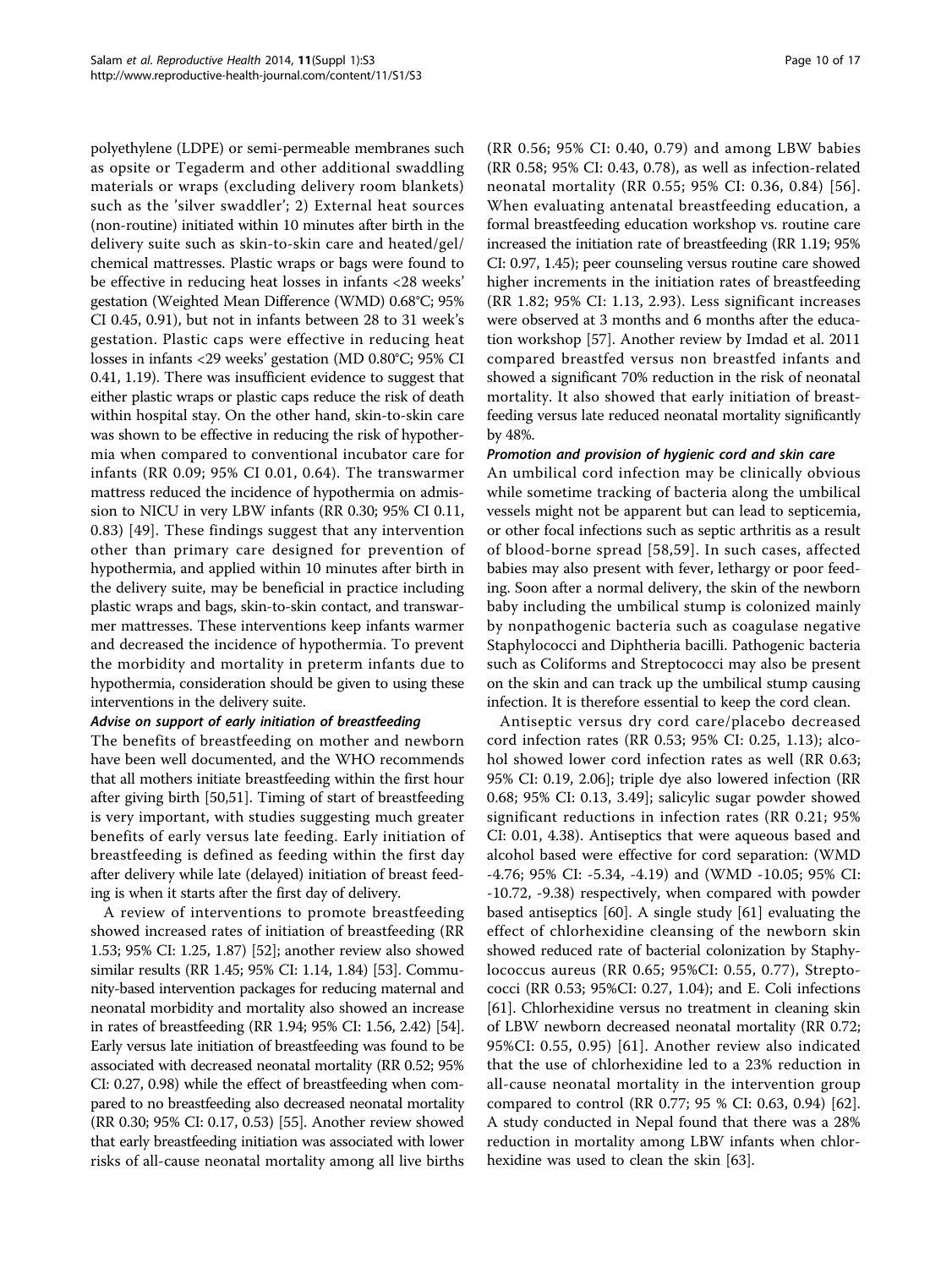polyethylene (LDPE) or semi-permeable membranes such as opsite or Tegaderm and other additional swaddling materials or wraps (excluding delivery room blankets) such as the 'silver swaddler'; 2) External heat sources (non-routine) initiated within 10 minutes after birth in the delivery suite such as skin-to-skin care and heated/gel/ chemical mattresses. Plastic wraps or bags were found to be effective in reducing heat losses in infants <28 weeks' gestation (Weighted Mean Difference (WMD) 0.68°C; 95% CI 0.45, 0.91), but not in infants between 28 to 31 week's gestation. Plastic caps were effective in reducing heat losses in infants <29 weeks' gestation (MD 0.80°C; 95% CI 0.41, 1.19). There was insufficient evidence to suggest that either plastic wraps or plastic caps reduce the risk of death within hospital stay. On the other hand, skin-to-skin care was shown to be effective in reducing the risk of hypothermia when compared to conventional incubator care for infants (RR 0.09; 95% CI 0.01, 0.64). The transwarmer mattress reduced the incidence of hypothermia on admission to NICU in very LBW infants (RR 0.30; 95% CI 0.11, 0.83) [[49](#page-15-0)]. These findings suggest that any intervention other than primary care designed for prevention of hypothermia, and applied within 10 minutes after birth in the delivery suite, may be beneficial in practice including plastic wraps and bags, skin-to-skin contact, and transwarmer mattresses. These interventions keep infants warmer and decreased the incidence of hypothermia. To prevent the morbidity and mortality in preterm infants due to hypothermia, consideration should be given to using these interventions in the delivery suite.

#### Advise on support of early initiation of breastfeeding

The benefits of breastfeeding on mother and newborn have been well documented, and the WHO recommends that all mothers initiate breastfeeding within the first hour after giving birth [\[50,51\]](#page-15-0). Timing of start of breastfeeding is very important, with studies suggesting much greater benefits of early versus late feeding. Early initiation of breastfeeding is defined as feeding within the first day after delivery while late (delayed) initiation of breast feeding is when it starts after the first day of delivery.

A review of interventions to promote breastfeeding showed increased rates of initiation of breastfeeding (RR 1.53; 95% CI: 1.25, 1.87) [\[52](#page-15-0)]; another review also showed similar results (RR 1.45; 95% CI: 1.14, 1.84) [\[53\]](#page-15-0). Community-based intervention packages for reducing maternal and neonatal morbidity and mortality also showed an increase in rates of breastfeeding (RR 1.94; 95% CI: 1.56, 2.42) [[54](#page-15-0)]. Early versus late initiation of breastfeeding was found to be associated with decreased neonatal mortality (RR 0.52; 95% CI: 0.27, 0.98) while the effect of breastfeeding when compared to no breastfeeding also decreased neonatal mortality (RR 0.30; 95% CI: 0.17, 0.53) [\[55](#page-15-0)]. Another review showed that early breastfeeding initiation was associated with lower risks of all-cause neonatal mortality among all live births (RR 0.56; 95% CI: 0.40, 0.79) and among LBW babies (RR 0.58; 95% CI: 0.43, 0.78), as well as infection-related neonatal mortality (RR 0.55; 95% CI: 0.36, 0.84) [[56\]](#page-15-0). When evaluating antenatal breastfeeding education, a formal breastfeeding education workshop vs. routine care increased the initiation rate of breastfeeding (RR 1.19; 95% CI: 0.97, 1.45); peer counseling versus routine care showed higher increments in the initiation rates of breastfeeding (RR 1.82; 95% CI: 1.13, 2.93). Less significant increases were observed at 3 months and 6 months after the education workshop [\[57\]](#page-15-0). Another review by Imdad et al. 2011 compared breastfed versus non breastfed infants and showed a significant 70% reduction in the risk of neonatal mortality. It also showed that early initiation of breastfeeding versus late reduced neonatal mortality significantly by 48%.

#### Promotion and provision of hygienic cord and skin care

An umbilical cord infection may be clinically obvious while sometime tracking of bacteria along the umbilical vessels might not be apparent but can lead to septicemia, or other focal infections such as septic arthritis as a result of blood-borne spread [[58](#page-15-0),[59\]](#page-15-0). In such cases, affected babies may also present with fever, lethargy or poor feeding. Soon after a normal delivery, the skin of the newborn baby including the umbilical stump is colonized mainly by nonpathogenic bacteria such as coagulase negative Staphylococci and Diphtheria bacilli. Pathogenic bacteria such as Coliforms and Streptococci may also be present on the skin and can track up the umbilical stump causing infection. It is therefore essential to keep the cord clean.

Antiseptic versus dry cord care/placebo decreased cord infection rates (RR 0.53; 95% CI: 0.25, 1.13); alcohol showed lower cord infection rates as well (RR 0.63; 95% CI: 0.19, 2.06]; triple dye also lowered infection (RR 0.68; 95% CI: 0.13, 3.49]; salicylic sugar powder showed significant reductions in infection rates (RR 0.21; 95% CI: 0.01, 4.38). Antiseptics that were aqueous based and alcohol based were effective for cord separation: (WMD -4.76; 95% CI: -5.34, -4.19) and (WMD -10.05; 95% CI: -10.72, -9.38) respectively, when compared with powder based antiseptics [\[60](#page-15-0)]. A single study [\[61](#page-15-0)] evaluating the effect of chlorhexidine cleansing of the newborn skin showed reduced rate of bacterial colonization by Staphylococcus aureus (RR 0.65; 95%CI: 0.55, 0.77), Streptococci (RR 0.53; 95%CI: 0.27, 1.04); and E. Coli infections [[61\]](#page-15-0). Chlorhexidine versus no treatment in cleaning skin of LBW newborn decreased neonatal mortality (RR 0.72; 95%CI: 0.55, 0.95) [[61](#page-15-0)]. Another review also indicated that the use of chlorhexidine led to a 23% reduction in all-cause neonatal mortality in the intervention group compared to control (RR 0.77; 95 % CI: 0.63, 0.94) [\[62](#page-15-0)]. A study conducted in Nepal found that there was a 28% reduction in mortality among LBW infants when chlorhexidine was used to clean the skin [\[63](#page-15-0)].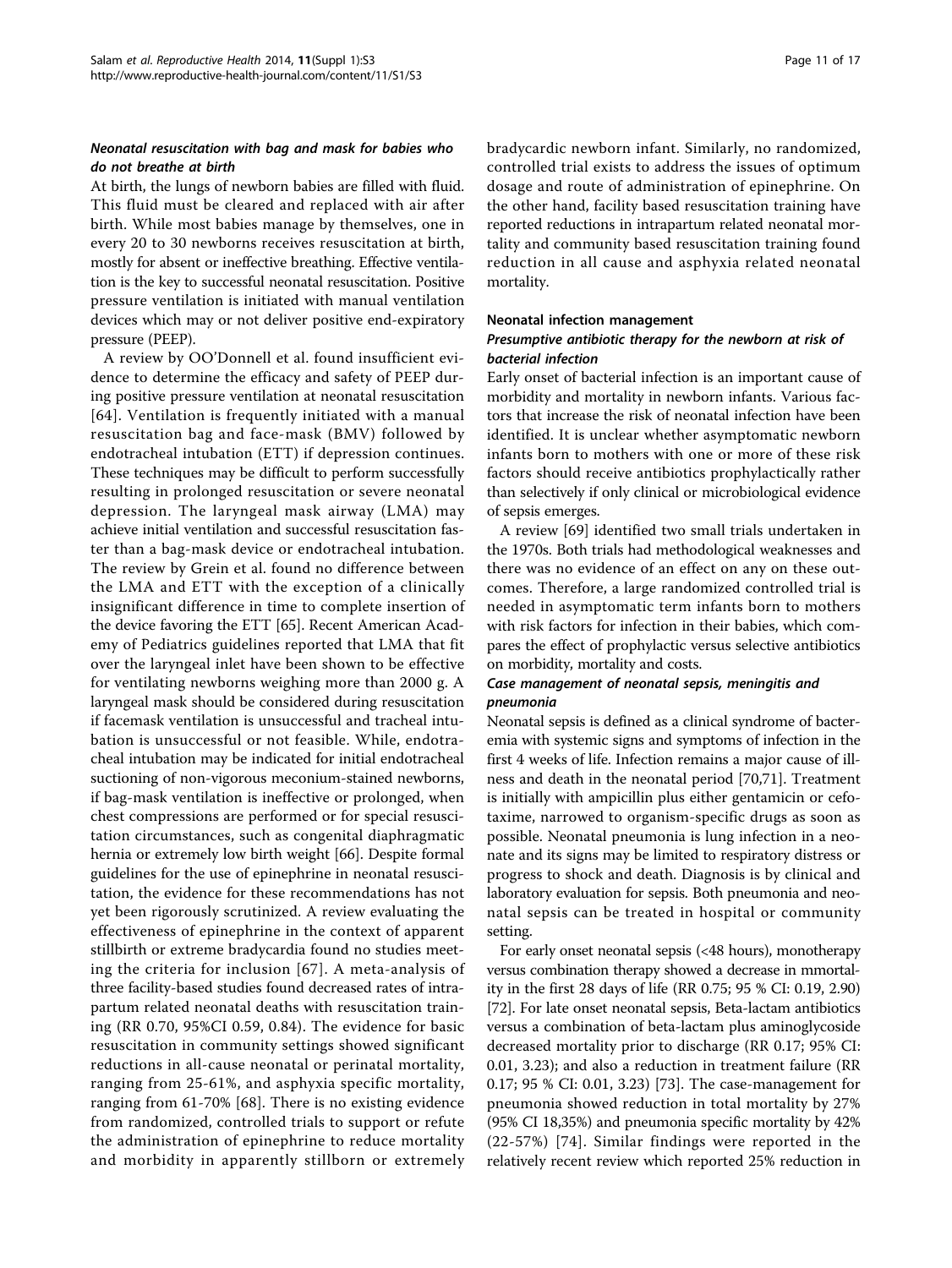#### Neonatal resuscitation with bag and mask for babies who do not breathe at birth

At birth, the lungs of newborn babies are filled with fluid. This fluid must be cleared and replaced with air after birth. While most babies manage by themselves, one in every 20 to 30 newborns receives resuscitation at birth, mostly for absent or ineffective breathing. Effective ventilation is the key to successful neonatal resuscitation. Positive pressure ventilation is initiated with manual ventilation devices which may or not deliver positive end-expiratory pressure (PEEP).

A review by OO'Donnell et al. found insufficient evidence to determine the efficacy and safety of PEEP during positive pressure ventilation at neonatal resuscitation [[64\]](#page-15-0). Ventilation is frequently initiated with a manual resuscitation bag and face-mask (BMV) followed by endotracheal intubation (ETT) if depression continues. These techniques may be difficult to perform successfully resulting in prolonged resuscitation or severe neonatal depression. The laryngeal mask airway (LMA) may achieve initial ventilation and successful resuscitation faster than a bag-mask device or endotracheal intubation. The review by Grein et al. found no difference between the LMA and ETT with the exception of a clinically insignificant difference in time to complete insertion of the device favoring the ETT [[65](#page-15-0)]. Recent American Academy of Pediatrics guidelines reported that LMA that fit over the laryngeal inlet have been shown to be effective for ventilating newborns weighing more than 2000 g. A laryngeal mask should be considered during resuscitation if facemask ventilation is unsuccessful and tracheal intubation is unsuccessful or not feasible. While, endotracheal intubation may be indicated for initial endotracheal suctioning of non-vigorous meconium-stained newborns, if bag-mask ventilation is ineffective or prolonged, when chest compressions are performed or for special resuscitation circumstances, such as congenital diaphragmatic hernia or extremely low birth weight [\[66](#page-15-0)]. Despite formal guidelines for the use of epinephrine in neonatal resuscitation, the evidence for these recommendations has not yet been rigorously scrutinized. A review evaluating the effectiveness of epinephrine in the context of apparent stillbirth or extreme bradycardia found no studies meeting the criteria for inclusion [[67\]](#page-16-0). A meta-analysis of three facility-based studies found decreased rates of intrapartum related neonatal deaths with resuscitation training (RR 0.70, 95%CI 0.59, 0.84). The evidence for basic resuscitation in community settings showed significant reductions in all-cause neonatal or perinatal mortality, ranging from 25-61%, and asphyxia specific mortality, ranging from 61-70% [[68\]](#page-16-0). There is no existing evidence from randomized, controlled trials to support or refute the administration of epinephrine to reduce mortality and morbidity in apparently stillborn or extremely bradycardic newborn infant. Similarly, no randomized, controlled trial exists to address the issues of optimum dosage and route of administration of epinephrine. On the other hand, facility based resuscitation training have reported reductions in intrapartum related neonatal mortality and community based resuscitation training found reduction in all cause and asphyxia related neonatal mortality.

#### Neonatal infection management

#### Presumptive antibiotic therapy for the newborn at risk of bacterial infection

Early onset of bacterial infection is an important cause of morbidity and mortality in newborn infants. Various factors that increase the risk of neonatal infection have been identified. It is unclear whether asymptomatic newborn infants born to mothers with one or more of these risk factors should receive antibiotics prophylactically rather than selectively if only clinical or microbiological evidence of sepsis emerges.

A review [[69\]](#page-16-0) identified two small trials undertaken in the 1970s. Both trials had methodological weaknesses and there was no evidence of an effect on any on these outcomes. Therefore, a large randomized controlled trial is needed in asymptomatic term infants born to mothers with risk factors for infection in their babies, which compares the effect of prophylactic versus selective antibiotics on morbidity, mortality and costs.

#### Case management of neonatal sepsis, meningitis and pneumonia

Neonatal sepsis is defined as a clinical syndrome of bacteremia with systemic signs and symptoms of infection in the first 4 weeks of life. Infection remains a major cause of illness and death in the neonatal period [\[70,71\]](#page-16-0). Treatment is initially with ampicillin plus either gentamicin or cefotaxime, narrowed to organism-specific drugs as soon as possible. Neonatal pneumonia is lung infection in a neonate and its signs may be limited to respiratory distress or progress to shock and death. Diagnosis is by clinical and laboratory evaluation for sepsis. Both pneumonia and neonatal sepsis can be treated in hospital or community setting.

For early onset neonatal sepsis (<48 hours), monotherapy versus combination therapy showed a decrease in mmortality in the first 28 days of life (RR 0.75; 95 % CI: 0.19, 2.90) [[72](#page-16-0)]. For late onset neonatal sepsis, Beta-lactam antibiotics versus a combination of beta-lactam plus aminoglycoside decreased mortality prior to discharge (RR 0.17; 95% CI: 0.01, 3.23); and also a reduction in treatment failure (RR 0.17; 95 % CI: 0.01, 3.23) [[73\]](#page-16-0). The case-management for pneumonia showed reduction in total mortality by 27% (95% CI 18,35%) and pneumonia specific mortality by 42% (22-57%) [[74\]](#page-16-0). Similar findings were reported in the relatively recent review which reported 25% reduction in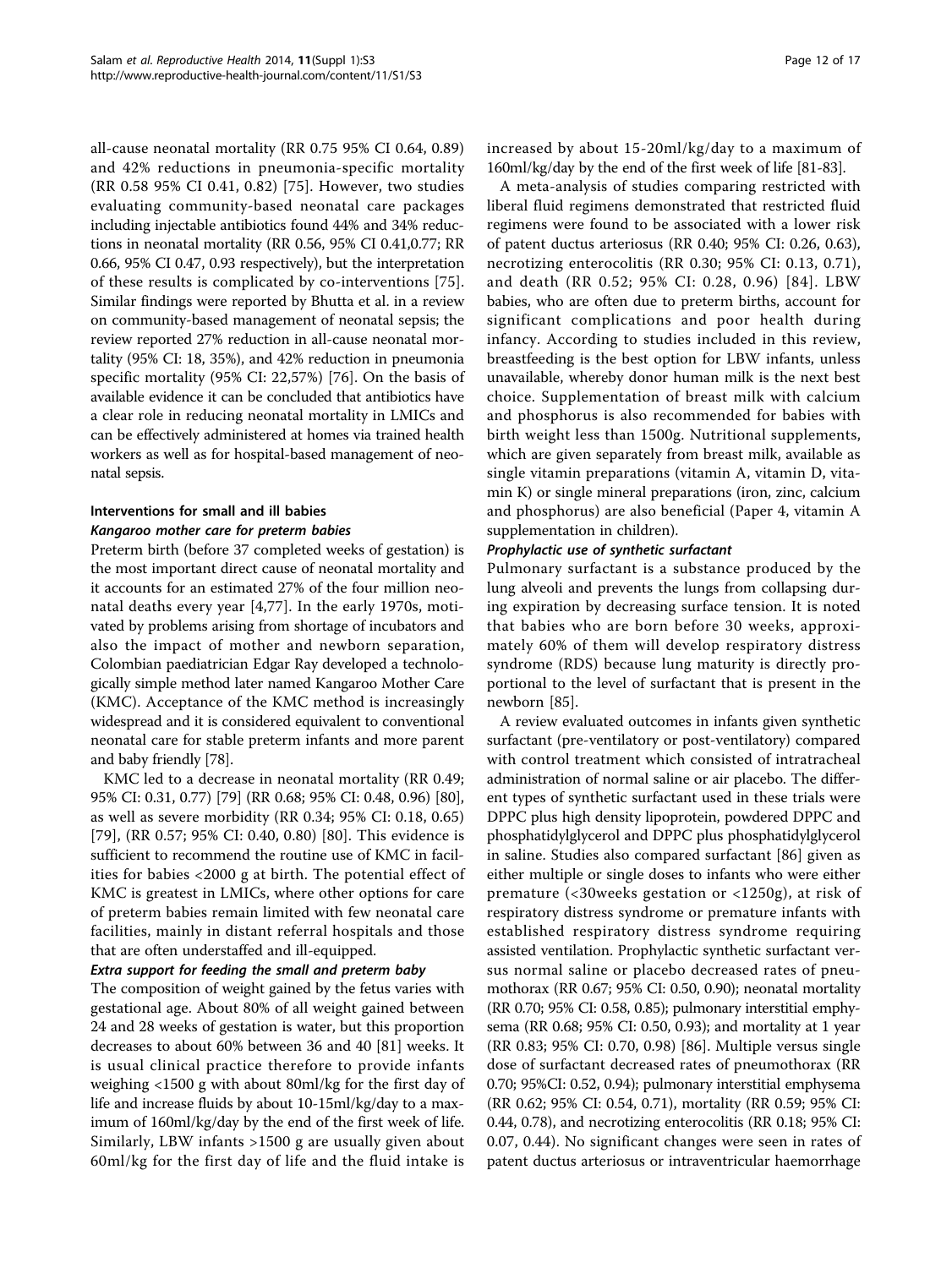all-cause neonatal mortality (RR 0.75 95% CI 0.64, 0.89) and 42% reductions in pneumonia-specific mortality (RR 0.58 95% CI 0.41, 0.82) [\[75\]](#page-16-0). However, two studies evaluating community-based neonatal care packages including injectable antibiotics found 44% and 34% reductions in neonatal mortality (RR 0.56, 95% CI 0.41,0.77; RR 0.66, 95% CI 0.47, 0.93 respectively), but the interpretation of these results is complicated by co-interventions [[75](#page-16-0)]. Similar findings were reported by Bhutta et al. in a review on community-based management of neonatal sepsis; the review reported 27% reduction in all-cause neonatal mortality (95% CI: 18, 35%), and 42% reduction in pneumonia specific mortality (95% CI: 22,57%) [[76\]](#page-16-0). On the basis of available evidence it can be concluded that antibiotics have a clear role in reducing neonatal mortality in LMICs and can be effectively administered at homes via trained health workers as well as for hospital-based management of neonatal sepsis.

### Interventions for small and ill babies Kangaroo mother care for preterm babies

Preterm birth (before 37 completed weeks of gestation) is the most important direct cause of neonatal mortality and it accounts for an estimated 27% of the four million neonatal deaths every year [[4](#page-14-0)[,77](#page-16-0)]. In the early 1970s, motivated by problems arising from shortage of incubators and also the impact of mother and newborn separation, Colombian paediatrician Edgar Ray developed a technologically simple method later named Kangaroo Mother Care (KMC). Acceptance of the KMC method is increasingly widespread and it is considered equivalent to conventional neonatal care for stable preterm infants and more parent and baby friendly [\[78\]](#page-16-0).

KMC led to a decrease in neonatal mortality (RR 0.49; 95% CI: 0.31, 0.77) [\[79](#page-16-0)] (RR 0.68; 95% CI: 0.48, 0.96) [\[80](#page-16-0)], as well as severe morbidity (RR 0.34; 95% CI: 0.18, 0.65) [[79](#page-16-0)], (RR 0.57; 95% CI: 0.40, 0.80) [[80\]](#page-16-0). This evidence is sufficient to recommend the routine use of KMC in facilities for babies <2000 g at birth. The potential effect of KMC is greatest in LMICs, where other options for care of preterm babies remain limited with few neonatal care facilities, mainly in distant referral hospitals and those that are often understaffed and ill-equipped.

#### Extra support for feeding the small and preterm baby

The composition of weight gained by the fetus varies with gestational age. About 80% of all weight gained between 24 and 28 weeks of gestation is water, but this proportion decreases to about 60% between 36 and 40 [[81](#page-16-0)] weeks. It is usual clinical practice therefore to provide infants weighing <1500 g with about 80ml/kg for the first day of life and increase fluids by about 10-15ml/kg/day to a maximum of 160ml/kg/day by the end of the first week of life. Similarly, LBW infants >1500 g are usually given about 60ml/kg for the first day of life and the fluid intake is increased by about 15-20ml/kg/day to a maximum of 160ml/kg/day by the end of the first week of life [[81](#page-16-0)-[83](#page-16-0)].

A meta-analysis of studies comparing restricted with liberal fluid regimens demonstrated that restricted fluid regimens were found to be associated with a lower risk of patent ductus arteriosus (RR 0.40; 95% CI: 0.26, 0.63), necrotizing enterocolitis (RR 0.30; 95% CI: 0.13, 0.71), and death (RR 0.52; 95% CI: 0.28, 0.96) [[84](#page-16-0)]. LBW babies, who are often due to preterm births, account for significant complications and poor health during infancy. According to studies included in this review, breastfeeding is the best option for LBW infants, unless unavailable, whereby donor human milk is the next best choice. Supplementation of breast milk with calcium and phosphorus is also recommended for babies with birth weight less than 1500g. Nutritional supplements, which are given separately from breast milk, available as single vitamin preparations (vitamin A, vitamin D, vitamin K) or single mineral preparations (iron, zinc, calcium and phosphorus) are also beneficial (Paper 4, vitamin A supplementation in children).

#### Prophylactic use of synthetic surfactant

Pulmonary surfactant is a substance produced by the lung alveoli and prevents the lungs from collapsing during expiration by decreasing surface tension. It is noted that babies who are born before 30 weeks, approximately 60% of them will develop respiratory distress syndrome (RDS) because lung maturity is directly proportional to the level of surfactant that is present in the newborn [[85\]](#page-16-0).

A review evaluated outcomes in infants given synthetic surfactant (pre-ventilatory or post-ventilatory) compared with control treatment which consisted of intratracheal administration of normal saline or air placebo. The different types of synthetic surfactant used in these trials were DPPC plus high density lipoprotein, powdered DPPC and phosphatidylglycerol and DPPC plus phosphatidylglycerol in saline. Studies also compared surfactant [[86](#page-16-0)] given as either multiple or single doses to infants who were either premature (<30weeks gestation or <1250g), at risk of respiratory distress syndrome or premature infants with established respiratory distress syndrome requiring assisted ventilation. Prophylactic synthetic surfactant versus normal saline or placebo decreased rates of pneumothorax (RR 0.67; 95% CI: 0.50, 0.90); neonatal mortality (RR 0.70; 95% CI: 0.58, 0.85); pulmonary interstitial emphysema (RR 0.68; 95% CI: 0.50, 0.93); and mortality at 1 year (RR 0.83; 95% CI: 0.70, 0.98) [\[86](#page-16-0)]. Multiple versus single dose of surfactant decreased rates of pneumothorax (RR 0.70; 95%CI: 0.52, 0.94); pulmonary interstitial emphysema (RR 0.62; 95% CI: 0.54, 0.71), mortality (RR 0.59; 95% CI: 0.44, 0.78), and necrotizing enterocolitis (RR 0.18; 95% CI: 0.07, 0.44). No significant changes were seen in rates of patent ductus arteriosus or intraventricular haemorrhage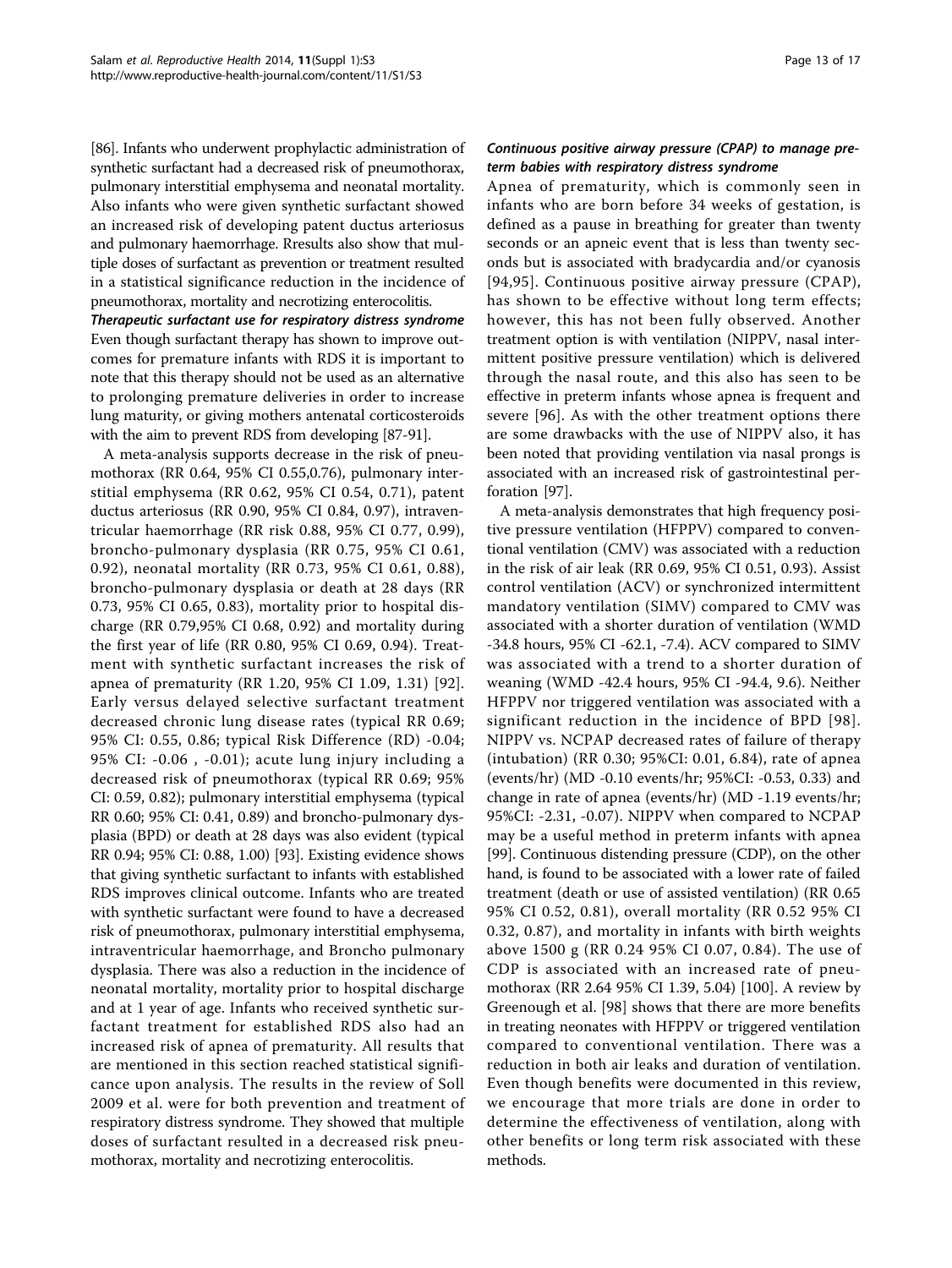[[86](#page-16-0)]. Infants who underwent prophylactic administration of synthetic surfactant had a decreased risk of pneumothorax, pulmonary interstitial emphysema and neonatal mortality. Also infants who were given synthetic surfactant showed an increased risk of developing patent ductus arteriosus and pulmonary haemorrhage. Rresults also show that multiple doses of surfactant as prevention or treatment resulted in a statistical significance reduction in the incidence of pneumothorax, mortality and necrotizing enterocolitis.

Therapeutic surfactant use for respiratory distress syndrome Even though surfactant therapy has shown to improve outcomes for premature infants with RDS it is important to note that this therapy should not be used as an alternative to prolonging premature deliveries in order to increase lung maturity, or giving mothers antenatal corticosteroids with the aim to prevent RDS from developing [\[87-91\]](#page-16-0).

A meta-analysis supports decrease in the risk of pneumothorax (RR 0.64, 95% CI 0.55,0.76), pulmonary interstitial emphysema (RR 0.62, 95% CI 0.54, 0.71), patent ductus arteriosus (RR 0.90, 95% CI 0.84, 0.97), intraventricular haemorrhage (RR risk 0.88, 95% CI 0.77, 0.99), broncho-pulmonary dysplasia (RR 0.75, 95% CI 0.61, 0.92), neonatal mortality (RR 0.73, 95% CI 0.61, 0.88), broncho-pulmonary dysplasia or death at 28 days (RR 0.73, 95% CI 0.65, 0.83), mortality prior to hospital discharge (RR 0.79,95% CI 0.68, 0.92) and mortality during the first year of life (RR 0.80, 95% CI 0.69, 0.94). Treatment with synthetic surfactant increases the risk of apnea of prematurity (RR 1.20, 95% CI 1.09, 1.31) [[92](#page-16-0)]. Early versus delayed selective surfactant treatment decreased chronic lung disease rates (typical RR 0.69; 95% CI: 0.55, 0.86; typical Risk Difference (RD) -0.04; 95% CI: -0.06 , -0.01); acute lung injury including a decreased risk of pneumothorax (typical RR 0.69; 95% CI: 0.59, 0.82); pulmonary interstitial emphysema (typical RR 0.60; 95% CI: 0.41, 0.89) and broncho-pulmonary dysplasia (BPD) or death at 28 days was also evident (typical RR 0.94; 95% CI: 0.88, 1.00) [[93\]](#page-16-0). Existing evidence shows that giving synthetic surfactant to infants with established RDS improves clinical outcome. Infants who are treated with synthetic surfactant were found to have a decreased risk of pneumothorax, pulmonary interstitial emphysema, intraventricular haemorrhage, and Broncho pulmonary dysplasia. There was also a reduction in the incidence of neonatal mortality, mortality prior to hospital discharge and at 1 year of age. Infants who received synthetic surfactant treatment for established RDS also had an increased risk of apnea of prematurity. All results that are mentioned in this section reached statistical significance upon analysis. The results in the review of Soll 2009 et al. were for both prevention and treatment of respiratory distress syndrome. They showed that multiple doses of surfactant resulted in a decreased risk pneumothorax, mortality and necrotizing enterocolitis.

#### Continuous positive airway pressure (CPAP) to manage preterm babies with respiratory distress syndrome

Apnea of prematurity, which is commonly seen in infants who are born before 34 weeks of gestation, is defined as a pause in breathing for greater than twenty seconds or an apneic event that is less than twenty seconds but is associated with bradycardia and/or cyanosis [[94,95](#page-16-0)]. Continuous positive airway pressure (CPAP), has shown to be effective without long term effects; however, this has not been fully observed. Another treatment option is with ventilation (NIPPV, nasal intermittent positive pressure ventilation) which is delivered through the nasal route, and this also has seen to be effective in preterm infants whose apnea is frequent and severe [[96\]](#page-16-0). As with the other treatment options there are some drawbacks with the use of NIPPV also, it has been noted that providing ventilation via nasal prongs is associated with an increased risk of gastrointestinal perforation [\[97](#page-16-0)].

A meta-analysis demonstrates that high frequency positive pressure ventilation (HFPPV) compared to conventional ventilation (CMV) was associated with a reduction in the risk of air leak (RR 0.69, 95% CI 0.51, 0.93). Assist control ventilation (ACV) or synchronized intermittent mandatory ventilation (SIMV) compared to CMV was associated with a shorter duration of ventilation (WMD -34.8 hours, 95% CI -62.1, -7.4). ACV compared to SIMV was associated with a trend to a shorter duration of weaning (WMD -42.4 hours, 95% CI -94.4, 9.6). Neither HFPPV nor triggered ventilation was associated with a significant reduction in the incidence of BPD [[98\]](#page-16-0). NIPPV vs. NCPAP decreased rates of failure of therapy (intubation) (RR 0.30; 95%CI: 0.01, 6.84), rate of apnea (events/hr) (MD -0.10 events/hr; 95%CI: -0.53, 0.33) and change in rate of apnea (events/hr) (MD -1.19 events/hr; 95%CI: -2.31, -0.07). NIPPV when compared to NCPAP may be a useful method in preterm infants with apnea [[99\]](#page-16-0). Continuous distending pressure (CDP), on the other hand, is found to be associated with a lower rate of failed treatment (death or use of assisted ventilation) (RR 0.65 95% CI 0.52, 0.81), overall mortality (RR 0.52 95% CI 0.32, 0.87), and mortality in infants with birth weights above 1500 g (RR 0.24 95% CI 0.07, 0.84). The use of CDP is associated with an increased rate of pneumothorax (RR 2.64 95% CI 1.39, 5.04) [[100](#page-16-0)]. A review by Greenough et al. [[98](#page-16-0)] shows that there are more benefits in treating neonates with HFPPV or triggered ventilation compared to conventional ventilation. There was a reduction in both air leaks and duration of ventilation. Even though benefits were documented in this review, we encourage that more trials are done in order to determine the effectiveness of ventilation, along with other benefits or long term risk associated with these methods.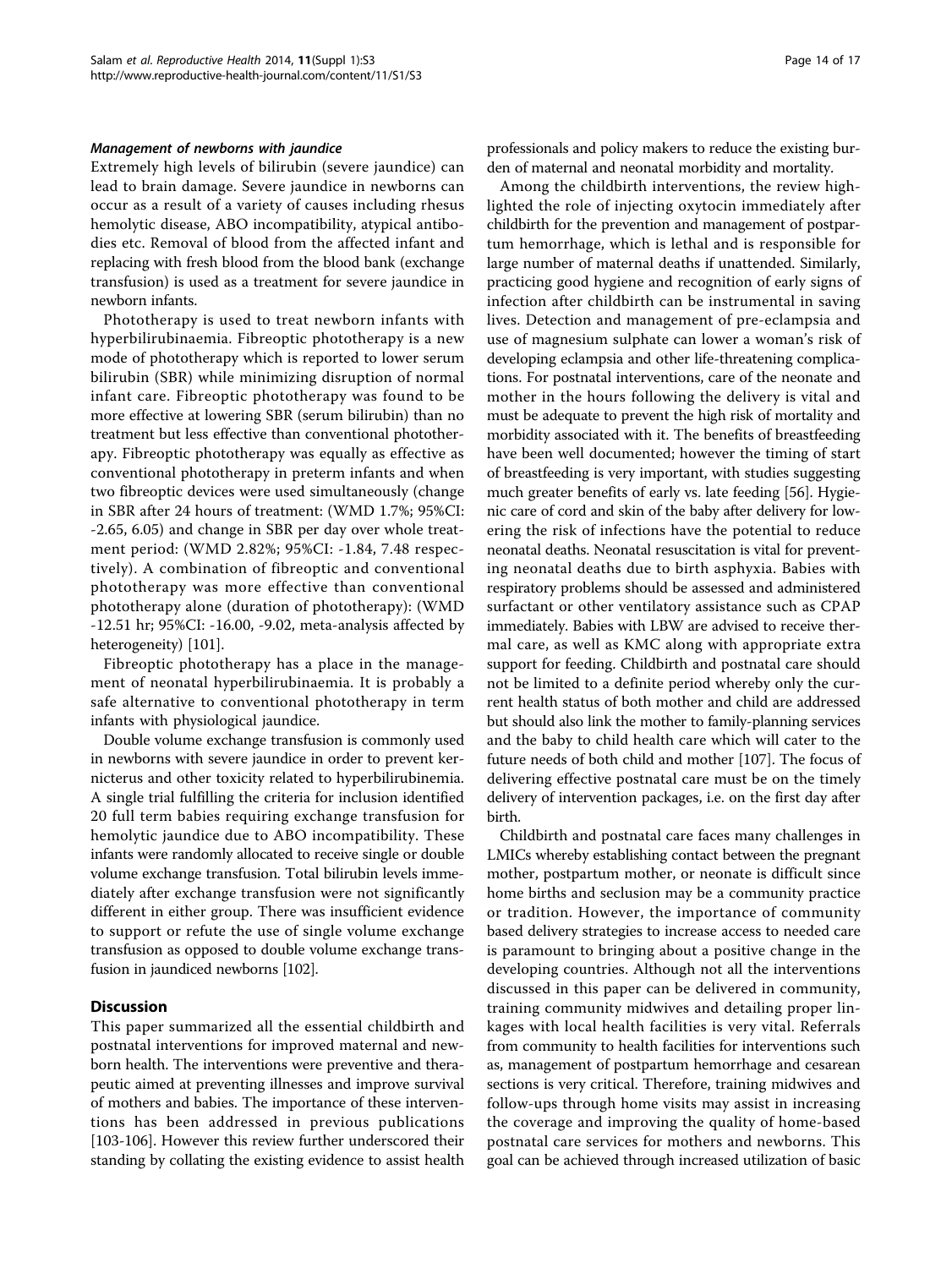#### Management of newborns with jaundice

Extremely high levels of bilirubin (severe jaundice) can lead to brain damage. Severe jaundice in newborns can occur as a result of a variety of causes including rhesus hemolytic disease, ABO incompatibility, atypical antibodies etc. Removal of blood from the affected infant and replacing with fresh blood from the blood bank (exchange transfusion) is used as a treatment for severe jaundice in newborn infants.

Phototherapy is used to treat newborn infants with hyperbilirubinaemia. Fibreoptic phototherapy is a new mode of phototherapy which is reported to lower serum bilirubin (SBR) while minimizing disruption of normal infant care. Fibreoptic phototherapy was found to be more effective at lowering SBR (serum bilirubin) than no treatment but less effective than conventional phototherapy. Fibreoptic phototherapy was equally as effective as conventional phototherapy in preterm infants and when two fibreoptic devices were used simultaneously (change in SBR after 24 hours of treatment: (WMD 1.7%; 95%CI: -2.65, 6.05) and change in SBR per day over whole treatment period: (WMD 2.82%; 95%CI: -1.84, 7.48 respectively). A combination of fibreoptic and conventional phototherapy was more effective than conventional phototherapy alone (duration of phototherapy): (WMD -12.51 hr; 95%CI: -16.00, -9.02, meta-analysis affected by heterogeneity) [[101](#page-16-0)].

Fibreoptic phototherapy has a place in the management of neonatal hyperbilirubinaemia. It is probably a safe alternative to conventional phototherapy in term infants with physiological jaundice.

Double volume exchange transfusion is commonly used in newborns with severe jaundice in order to prevent kernicterus and other toxicity related to hyperbilirubinemia. A single trial fulfilling the criteria for inclusion identified 20 full term babies requiring exchange transfusion for hemolytic jaundice due to ABO incompatibility. These infants were randomly allocated to receive single or double volume exchange transfusion. Total bilirubin levels immediately after exchange transfusion were not significantly different in either group. There was insufficient evidence to support or refute the use of single volume exchange transfusion as opposed to double volume exchange transfusion in jaundiced newborns [[102](#page-16-0)].

#### **Discussion**

This paper summarized all the essential childbirth and postnatal interventions for improved maternal and newborn health. The interventions were preventive and therapeutic aimed at preventing illnesses and improve survival of mothers and babies. The importance of these interventions has been addressed in previous publications [[103-106\]](#page-16-0). However this review further underscored their standing by collating the existing evidence to assist health professionals and policy makers to reduce the existing burden of maternal and neonatal morbidity and mortality.

Among the childbirth interventions, the review highlighted the role of injecting oxytocin immediately after childbirth for the prevention and management of postpartum hemorrhage, which is lethal and is responsible for large number of maternal deaths if unattended. Similarly, practicing good hygiene and recognition of early signs of infection after childbirth can be instrumental in saving lives. Detection and management of pre-eclampsia and use of magnesium sulphate can lower a woman's risk of developing eclampsia and other life-threatening complications. For postnatal interventions, care of the neonate and mother in the hours following the delivery is vital and must be adequate to prevent the high risk of mortality and morbidity associated with it. The benefits of breastfeeding have been well documented; however the timing of start of breastfeeding is very important, with studies suggesting much greater benefits of early vs. late feeding [[56\]](#page-15-0). Hygienic care of cord and skin of the baby after delivery for lowering the risk of infections have the potential to reduce neonatal deaths. Neonatal resuscitation is vital for preventing neonatal deaths due to birth asphyxia. Babies with respiratory problems should be assessed and administered surfactant or other ventilatory assistance such as CPAP immediately. Babies with LBW are advised to receive thermal care, as well as KMC along with appropriate extra support for feeding. Childbirth and postnatal care should not be limited to a definite period whereby only the current health status of both mother and child are addressed but should also link the mother to family-planning services and the baby to child health care which will cater to the future needs of both child and mother [\[107\]](#page-16-0). The focus of delivering effective postnatal care must be on the timely delivery of intervention packages, i.e. on the first day after birth.

Childbirth and postnatal care faces many challenges in LMICs whereby establishing contact between the pregnant mother, postpartum mother, or neonate is difficult since home births and seclusion may be a community practice or tradition. However, the importance of community based delivery strategies to increase access to needed care is paramount to bringing about a positive change in the developing countries. Although not all the interventions discussed in this paper can be delivered in community, training community midwives and detailing proper linkages with local health facilities is very vital. Referrals from community to health facilities for interventions such as, management of postpartum hemorrhage and cesarean sections is very critical. Therefore, training midwives and follow-ups through home visits may assist in increasing the coverage and improving the quality of home-based postnatal care services for mothers and newborns. This goal can be achieved through increased utilization of basic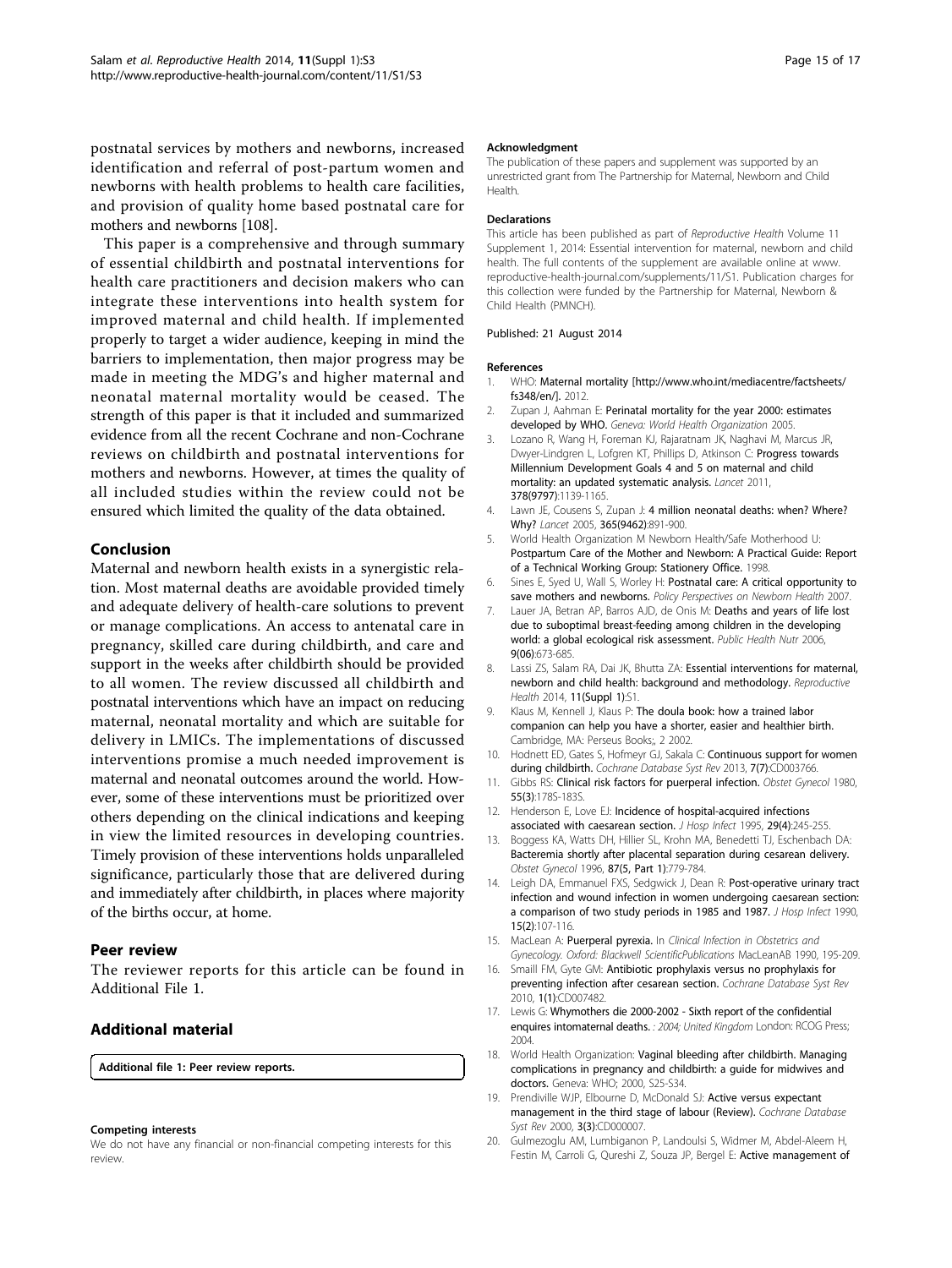<span id="page-14-0"></span>postnatal services by mothers and newborns, increased identification and referral of post-partum women and newborns with health problems to health care facilities, and provision of quality home based postnatal care for mothers and newborns [\[108](#page-16-0)].

This paper is a comprehensive and through summary of essential childbirth and postnatal interventions for health care practitioners and decision makers who can integrate these interventions into health system for improved maternal and child health. If implemented properly to target a wider audience, keeping in mind the barriers to implementation, then major progress may be made in meeting the MDG's and higher maternal and neonatal maternal mortality would be ceased. The strength of this paper is that it included and summarized evidence from all the recent Cochrane and non-Cochrane reviews on childbirth and postnatal interventions for mothers and newborns. However, at times the quality of all included studies within the review could not be ensured which limited the quality of the data obtained.

#### Conclusion

Maternal and newborn health exists in a synergistic relation. Most maternal deaths are avoidable provided timely and adequate delivery of health-care solutions to prevent or manage complications. An access to antenatal care in pregnancy, skilled care during childbirth, and care and support in the weeks after childbirth should be provided to all women. The review discussed all childbirth and postnatal interventions which have an impact on reducing maternal, neonatal mortality and which are suitable for delivery in LMICs. The implementations of discussed interventions promise a much needed improvement is maternal and neonatal outcomes around the world. However, some of these interventions must be prioritized over others depending on the clinical indications and keeping in view the limited resources in developing countries. Timely provision of these interventions holds unparalleled significance, particularly those that are delivered during and immediately after childbirth, in places where majority of the births occur, at home.

#### Peer review

The reviewer reports for this article can be found in Additional File 1.

#### Additional material

[Additional file 1: P](http://www.biomedcentral.com/content/supplementary/1742-4755-11-S1-S3-S1.pdf)eer review reports.

#### Competing interests

We do not have any financial or non-financial competing interests for this review.

#### Acknowledgment

The publication of these papers and supplement was supported by an unrestricted grant from The Partnership for Maternal, Newborn and Child Health.

#### Declarations

This article has been published as part of Reproductive Health Volume 11 Supplement 1, 2014: Essential intervention for maternal, newborn and child health. The full contents of the supplement are available online at [www.](www.reproductive-health-journal.com/supplements/11/S1) [reproductive-health-journal.com/supplements/11/S1](www.reproductive-health-journal.com/supplements/11/S1). Publication charges for this collection were funded by the Partnership for Maternal, Newborn & Child Health (PMNCH).

#### Published: 21 August 2014

#### References

- 1. WHO: Maternal mortality [[http://www.who.int/mediacentre/factsheets/](WHO) [fs348/en/\]](WHO). 2012.
- 2. Zupan J, Aahman E: Perinatal mortality for the year 2000: estimates developed by WHO. Geneva: World Health Organization 2005.
- Lozano R, Wang H, Foreman KJ, Rajaratnam JK, Naghavi M, Marcus JR, Dwyer-Lindgren L, Lofgren KT, Phillips D, Atkinson C: Progress towards Millennium Development Goals 4 and 5 on maternal and child mortality: an updated systematic analysis. Lancet 2011, 378(9797):1139-1165.
- 4. Lawn JE, Cousens S, Zupan J: 4 million neonatal deaths: when? Where? Why? Lancet 2005, 365(9462):891-900.
- 5. World Health Organization M Newborn Health/Safe Motherhood U: Postpartum Care of the Mother and Newborn: A Practical Guide: Report of a Technical Working Group: Stationery Office. 1998.
- 6. Sines E, Syed U, Wall S, Worley H: Postnatal care: A critical opportunity to save mothers and newborns. Policy Perspectives on Newborn Health 2007.
- 7. Lauer JA, Betran AP, Barros AJD, de Onis M: Deaths and years of life lost due to suboptimal breast-feeding among children in the developing world: a global ecological risk assessment. Public Health Nutr 2006, 9(06):673-685.
- 8. Lassi ZS, Salam RA, Dai JK, Bhutta ZA: Essential interventions for maternal, newborn and child health: background and methodology. Reproductive Health 2014, 11(Suppl 1):S1.
- 9. Klaus M, Kennell J, Klaus P: The doula book: how a trained labor companion can help you have a shorter, easier and healthier birth. Cambridge, MA: Perseus Books;, 2 2002.
- 10. Hodnett ED, Gates S, Hofmeyr GJ, Sakala C: Continuous support for women during childbirth. Cochrane Database Syst Rev 2013, 7(7):CD003766.
- 11. Gibbs RS: Clinical risk factors for puerperal infection. Obstet Gynecol 1980, 55(3):178S-183S.
- 12. Henderson E, Love EJ: Incidence of hospital-acquired infections associated with caesarean section. J Hosp Infect 1995, 29(4):245-255.
- 13. Boggess KA, Watts DH, Hillier SL, Krohn MA, Benedetti TJ, Eschenbach DA: Bacteremia shortly after placental separation during cesarean delivery. Obstet Gynecol 1996, 87(5, Part 1):779-784.
- 14. Leigh DA, Emmanuel FXS, Sedgwick J, Dean R: Post-operative urinary tract infection and wound infection in women undergoing caesarean section: a comparison of two study periods in 1985 and 1987. J Hosp Infect 1990, 15(2):107-116.
- 15. MacLean A: Puerperal pyrexia. In Clinical Infection in Obstetrics and Gynecology. Oxford: Blackwell ScientificPublications MacLeanAB 1990, 195-209.
- 16. Smaill FM, Gyte GM: Antibiotic prophylaxis versus no prophylaxis for preventing infection after cesarean section. Cochrane Database Syst Rev 2010, 1(1):CD007482.
- 17. Lewis G: Whymothers die 2000-2002 Sixth report of the confidential enquires intomaternal deaths. : 2004; United Kingdom London: RCOG Press; 2004.
- 18. World Health Organization: Vaginal bleeding after childbirth. Managing complications in pregnancy and childbirth: a guide for midwives and doctors. Geneva: WHO; 2000, S25-S34.
- 19. Prendiville WJP, Elbourne D, McDonald SJ: Active versus expectant management in the third stage of labour (Review). Cochrane Database Syst Rev 2000, 3(3):CD000007
- 20. Gulmezoglu AM, Lumbiganon P, Landoulsi S, Widmer M, Abdel-Aleem H, Festin M, Carroli G, Qureshi Z, Souza JP, Bergel E: Active management of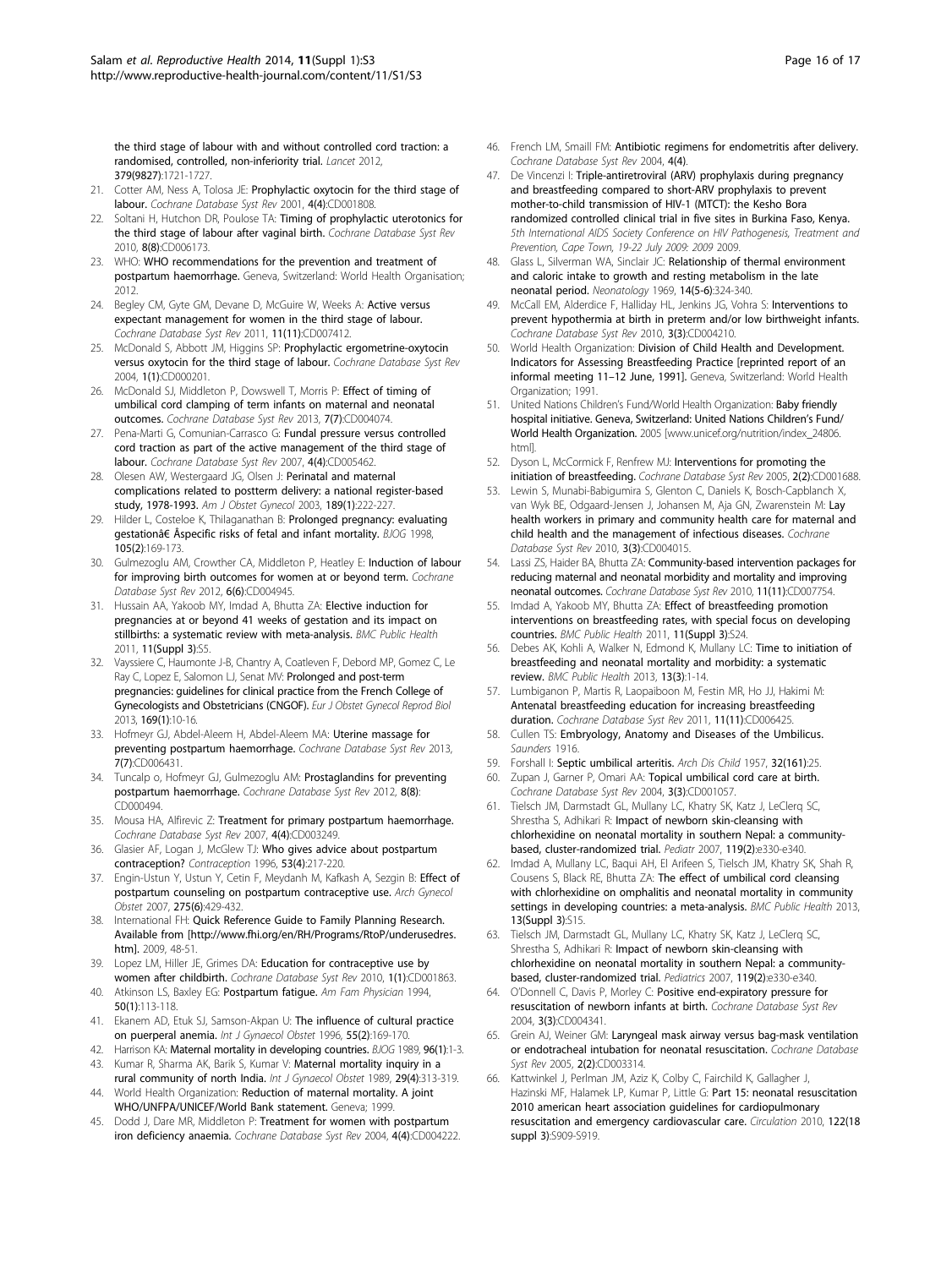<span id="page-15-0"></span>the third stage of labour with and without controlled cord traction: a randomised, controlled, non-inferiority trial. Lancet 2012, 379(9827):1721-1727.

- 21. Cotter AM, Ness A, Tolosa JE: Prophylactic oxytocin for the third stage of labour. Cochrane Database Syst Rev 2001, 4(4):CD001808.
- 22. Soltani H, Hutchon DR, Poulose TA: Timing of prophylactic uterotonics for the third stage of labour after vaginal birth. Cochrane Database Syst Rev 2010, 8(8):CD006173.
- 23. WHO: WHO recommendations for the prevention and treatment of postpartum haemorrhage. Geneva, Switzerland: World Health Organisation; 2012.
- 24. Begley CM, Gyte GM, Devane D, McGuire W, Weeks A: Active versus expectant management for women in the third stage of labour. Cochrane Database Syst Rev 2011, 11(11):CD007412.
- 25. McDonald S, Abbott JM, Higgins SP: Prophylactic ergometrine-oxytocin versus oxytocin for the third stage of labour. Cochrane Database Syst Rev 2004, 1(1):CD000201.
- 26. McDonald SJ, Middleton P, Dowswell T, Morris P: Effect of timing of umbilical cord clamping of term infants on maternal and neonatal outcomes. Cochrane Database Syst Rev 2013, 7(7):CD004074.
- 27. Pena-Marti G, Comunian-Carrasco G: Fundal pressure versus controlled cord traction as part of the active management of the third stage of labour. Cochrane Database Syst Rev 2007, 4(4):CD005462.
- 28. Olesen AW, Westergaard JG, Olsen J: Perinatal and maternal complications related to postterm delivery: a national register-based study, 1978-1993. Am J Obstet Gynecol 2003, 189(1):222-227.
- 29. Hilder L, Costeloe K, Thilaganathan B: Prolonged pregnancy: evaluating gestationâ€ Âspecific risks of fetal and infant mortality. BJOG 1998, 105(2):169-173.
- 30. Gulmezoglu AM, Crowther CA, Middleton P, Heatley E: Induction of labour for improving birth outcomes for women at or beyond term. Cochrane Database Syst Rev 2012, 6(6):CD004945.
- 31. Hussain AA, Yakoob MY, Imdad A, Bhutta ZA: Elective induction for pregnancies at or beyond 41 weeks of gestation and its impact on stillbirths: a systematic review with meta-analysis. BMC Public Health 2011, 11(Suppl 3):S5.
- 32. Vayssiere C, Haumonte J-B, Chantry A, Coatleven F, Debord MP, Gomez C, Le Ray C, Lopez E, Salomon LJ, Senat MV: Prolonged and post-term pregnancies: guidelines for clinical practice from the French College of Gynecologists and Obstetricians (CNGOF). Eur J Obstet Gynecol Reprod Biol 2013, 169(1):10-16.
- 33. Hofmeyr GJ, Abdel-Aleem H, Abdel-Aleem MA: Uterine massage for preventing postpartum haemorrhage. Cochrane Database Syst Rev 2013, 7(7):CD006431.
- 34. Tuncalp o, Hofmeyr GJ, Gulmezoglu AM: Prostaglandins for preventing postpartum haemorrhage. Cochrane Database Syst Rev 2012, 8(8): CD000494.
- 35. Mousa HA, Alfirevic Z: Treatment for primary postpartum haemorrhage. Cochrane Database Syst Rev 2007, 4(4):CD003249.
- 36. Glasier AF, Logan J, McGlew TJ: Who gives advice about postpartum contraception? Contraception 1996, 53(4):217-220.
- 37. Engin-Ustun Y, Ustun Y, Cetin F, Meydanh M, Kafkash A, Sezgin B: Effect of postpartum counseling on postpartum contraceptive use. Arch Gynecol Obstet 2007, 275(6):429-432.
- 38. International FH: Quick Reference Guide to Family Planning Research. Available from [\[http://www.fhi.org/en/RH/Programs/RtoP/underusedres.](International FH) html. 2009, 48-51.
- 39. Lopez LM, Hiller JE, Grimes DA: Education for contraceptive use by women after childbirth. Cochrane Database Syst Rev 2010, 1(1):CD001863.
- 40. Atkinson LS, Baxley EG: Postpartum fatigue. Am Fam Physician 1994, 50(1):113-118.
- 41. Ekanem AD, Etuk SJ, Samson-Akpan U: The influence of cultural practice on puerperal anemia. Int J Gynaecol Obstet 1996, 55(2):169-170.
- 42. Harrison KA: Maternal mortality in developing countries. BJOG 1989, 96(1):1-3. 43. Kumar R, Sharma AK, Barik S, Kumar V: Maternal mortality inquiry in a
- rural community of north India. Int J Gynaecol Obstet 1989, 29(4):313-319. 44. World Health Organization: Reduction of maternal mortality. A joint WHO/UNFPA/UNICEF/World Bank statement. Geneva; 1999.
- 45. Dodd J, Dare MR, Middleton P: Treatment for women with postpartum iron deficiency anaemia. Cochrane Database Syst Rev 2004, 4(4):CD004222.
- 46. French LM, Smaill FM: Antibiotic regimens for endometritis after delivery. Cochrane Database Syst Rev 2004, 4(4).
- 47. De Vincenzi I: Triple-antiretroviral (ARV) prophylaxis during pregnancy and breastfeeding compared to short-ARV prophylaxis to prevent mother-to-child transmission of HIV-1 (MTCT): the Kesho Bora randomized controlled clinical trial in five sites in Burkina Faso, Kenya. 5th International AIDS Society Conference on HIV Pathogenesis, Treatment and Prevention, Cape Town, 19-22 July 2009: 2009 2009.
- Glass L, Silverman WA, Sinclair JC: Relationship of thermal environment and caloric intake to growth and resting metabolism in the late neonatal period. Neonatology 1969, 14(5-6):324-340.
- 49. McCall EM, Alderdice F, Halliday HL, Jenkins JG, Vohra S: Interventions to prevent hypothermia at birth in preterm and/or low birthweight infants. Cochrane Database Syst Rev 2010, 3(3):CD004210.
- 50. World Health Organization: Division of Child Health and Development. Indicators for Assessing Breastfeeding Practice [reprinted report of an informal meeting 11–12 June, 1991]. Geneva, Switzerland: World Health Organization; 1991.
- 51. United Nations Children's Fund/World Health Organization: Baby friendly hospital initiative. Geneva, Switzerland: United Nations Children's Fund/ World Health Organization. 2005 [[www.unicef.org/nutrition/index\\_24806.](www.unicef.org/nutrition/index_24806.html) [html\]](www.unicef.org/nutrition/index_24806.html).
- 52. Dyson L, McCormick F, Renfrew MJ: Interventions for promoting the initiation of breastfeeding. Cochrane Database Syst Rev 2005, 2(2):CD001688.
- 53. Lewin S, Munabi-Babigumira S, Glenton C, Daniels K, Bosch-Capblanch X, van Wyk BE, Odgaard-Jensen J, Johansen M, Aja GN, Zwarenstein M: Lay health workers in primary and community health care for maternal and child health and the management of infectious diseases. Cochrane Database Syst Rev 2010, 3(3):CD004015.
- 54. Lassi ZS, Haider BA, Bhutta ZA: Community-based intervention packages for reducing maternal and neonatal morbidity and mortality and improving neonatal outcomes. Cochrane Database Syst Rev 2010, 11(11):CD007754.
- 55. Imdad A, Yakoob MY, Bhutta ZA: Effect of breastfeeding promotion interventions on breastfeeding rates, with special focus on developing countries. BMC Public Health 2011, 11(Suppl 3):S24.
- 56. Debes AK, Kohli A, Walker N, Edmond K, Mullany LC: Time to initiation of breastfeeding and neonatal mortality and morbidity: a systematic review. BMC Public Health 2013, 13(3):1-14.
- Lumbiganon P, Martis R, Laopaiboon M, Festin MR, Ho JJ, Hakimi M: Antenatal breastfeeding education for increasing breastfeeding duration. Cochrane Database Syst Rev 2011, 11(11):CD006425.
- Cullen TS: Embryology, Anatomy and Diseases of the Umbilicus. Saunders 1916.
- 59. Forshall I: Septic umbilical arteritis. Arch Dis Child 1957, 32(161):25.
- 60. Zupan J, Garner P, Omari AA: Topical umbilical cord care at birth. Cochrane Database Syst Rev 2004, 3(3):CD001057.
- 61. Tielsch JM, Darmstadt GL, Mullany LC, Khatry SK, Katz J, LeClerq SC, Shrestha S, Adhikari R: Impact of newborn skin-cleansing with chlorhexidine on neonatal mortality in southern Nepal: a communitybased, cluster-randomized trial. Pediatr 2007, 119(2):e330-e340.
- 62. Imdad A, Mullany LC, Baqui AH, El Arifeen S, Tielsch JM, Khatry SK, Shah R, Cousens S, Black RE, Bhutta ZA: The effect of umbilical cord cleansing with chlorhexidine on omphalitis and neonatal mortality in community settings in developing countries: a meta-analysis. BMC Public Health 2013, 13(Suppl 3):S15.
- 63. Tielsch JM, Darmstadt GL, Mullany LC, Khatry SK, Katz J, LeClerq SC, Shrestha S, Adhikari R: Impact of newborn skin-cleansing with chlorhexidine on neonatal mortality in southern Nepal: a communitybased, cluster-randomized trial. Pediatrics 2007, 119(2):e330-e340.
- 64. O'Donnell C, Davis P, Morley C: Positive end-expiratory pressure for resuscitation of newborn infants at birth. Cochrane Database Syst Rev 2004, 3(3):CD004341.
- 65. Grein AJ, Weiner GM: Laryngeal mask airway versus bag-mask ventilation or endotracheal intubation for neonatal resuscitation. Cochrane Database Syst Rev 2005, 2(2):CD003314.
- 66. Kattwinkel J, Perlman JM, Aziz K, Colby C, Fairchild K, Gallagher J, Hazinski MF, Halamek LP, Kumar P, Little G: Part 15: neonatal resuscitation 2010 american heart association guidelines for cardiopulmonary resuscitation and emergency cardiovascular care. Circulation 2010, 122(18 suppl 3):S909-S919.